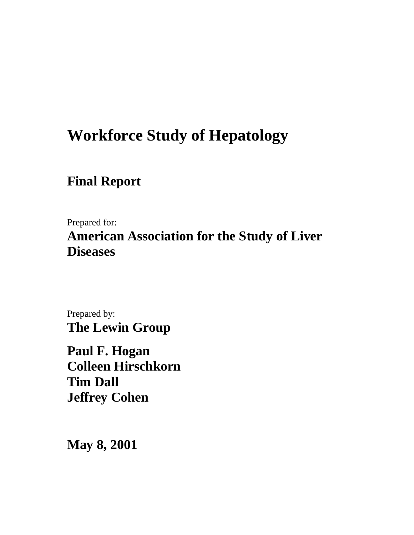# **Workforce Study of Hepatology**

# **Final Report**

Prepared for:

**American Association for the Study of Liver Diseases**

Prepared by: **The Lewin Group**

**Paul F. Hogan Colleen Hirschkorn Tim Dall Jeffrey Cohen**

**May 8, 2001**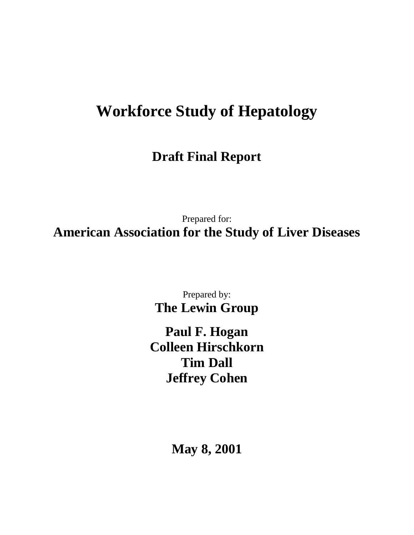# **Workforce Study of Hepatology**

**Draft Final Report**

Prepared for: **American Association for the Study of Liver Diseases**

> Prepared by: **The Lewin Group**

**Paul F. Hogan Colleen Hirschkorn Tim Dall Jeffrey Cohen**

**May 8, 2001**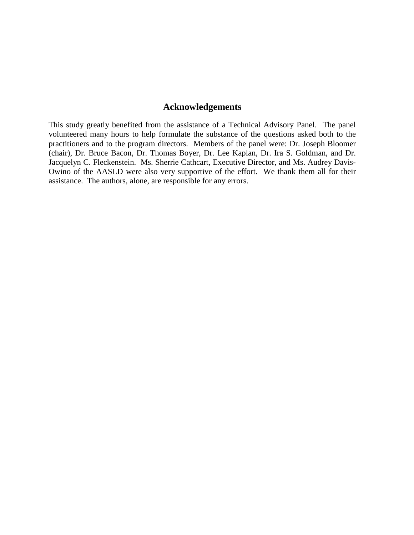# **Acknowledgements**

This study greatly benefited from the assistance of a Technical Advisory Panel. The panel volunteered many hours to help formulate the substance of the questions asked both to the practitioners and to the program directors. Members of the panel were: Dr. Joseph Bloomer (chair), Dr. Bruce Bacon, Dr. Thomas Boyer, Dr. Lee Kaplan, Dr. Ira S. Goldman, and Dr. Jacquelyn C. Fleckenstein. Ms. Sherrie Cathcart, Executive Director, and Ms. Audrey Davis-Owino of the AASLD were also very supportive of the effort. We thank them all for their assistance. The authors, alone, are responsible for any errors.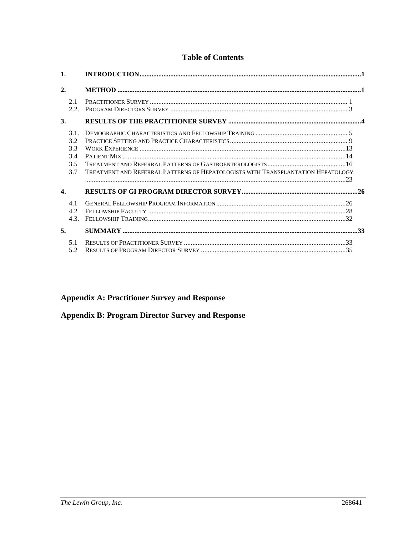# **Table of Contents**

| 1.               |                                                                                  |  |
|------------------|----------------------------------------------------------------------------------|--|
| 2.               |                                                                                  |  |
| 2.1<br>2.2.      |                                                                                  |  |
| 3.               |                                                                                  |  |
| 3.1.             |                                                                                  |  |
| 3.2              |                                                                                  |  |
| 3.3              |                                                                                  |  |
| 3.4              |                                                                                  |  |
| 3.5              |                                                                                  |  |
| 3.7              | TREATMENT AND REFERRAL PATTERNS OF HEPATOLOGISTS WITH TRANSPLANTATION HEPATOLOGY |  |
|                  | $\sim$ 23                                                                        |  |
| $\overline{4}$ . |                                                                                  |  |
| 4.1              |                                                                                  |  |
| 4.2              |                                                                                  |  |
| 4.3.             |                                                                                  |  |
| 5.               |                                                                                  |  |
| 5.1              |                                                                                  |  |
| 5.2              |                                                                                  |  |

# **Appendix A: Practitioner Survey and Response**

# **Appendix B: Program Director Survey and Response**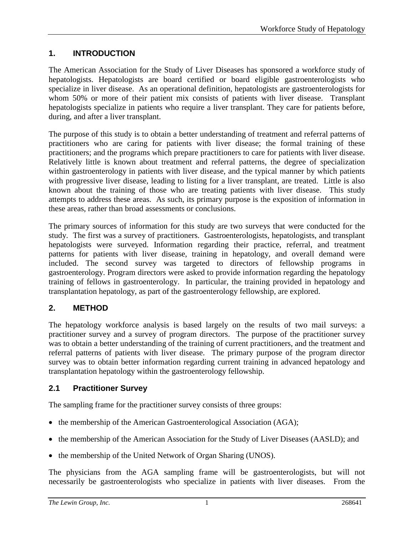# **1. INTRODUCTION**

The American Association for the Study of Liver Diseases has sponsored a workforce study of hepatologists. Hepatologists are board certified or board eligible gastroenterologists who specialize in liver disease. As an operational definition, hepatologists are gastroenterologists for whom 50% or more of their patient mix consists of patients with liver disease. Transplant hepatologists specialize in patients who require a liver transplant. They care for patients before, during, and after a liver transplant.

The purpose of this study is to obtain a better understanding of treatment and referral patterns of practitioners who are caring for patients with liver disease; the formal training of these practitioners; and the programs which prepare practitioners to care for patients with liver disease. Relatively little is known about treatment and referral patterns, the degree of specialization within gastroenterology in patients with liver disease, and the typical manner by which patients with progressive liver disease, leading to listing for a liver transplant, are treated. Little is also known about the training of those who are treating patients with liver disease. This study attempts to address these areas. As such, its primary purpose is the exposition of information in these areas, rather than broad assessments or conclusions.

The primary sources of information for this study are two surveys that were conducted for the study. The first was a survey of practitioners. Gastroenterologists, hepatologists, and transplant hepatologists were surveyed. Information regarding their practice, referral, and treatment patterns for patients with liver disease, training in hepatology, and overall demand were included. The second survey was targeted to directors of fellowship programs in gastroenterology. Program directors were asked to provide information regarding the hepatology training of fellows in gastroenterology. In particular, the training provided in hepatology and transplantation hepatology, as part of the gastroenterology fellowship, are explored.

# **2. METHOD**

The hepatology workforce analysis is based largely on the results of two mail surveys: a practitioner survey and a survey of program directors. The purpose of the practitioner survey was to obtain a better understanding of the training of current practitioners, and the treatment and referral patterns of patients with liver disease. The primary purpose of the program director survey was to obtain better information regarding current training in advanced hepatology and transplantation hepatology within the gastroenterology fellowship.

# **2.1 Practitioner Survey**

The sampling frame for the practitioner survey consists of three groups:

- the membership of the American Gastroenterological Association (AGA);
- the membership of the American Association for the Study of Liver Diseases (AASLD); and
- the membership of the United Network of Organ Sharing (UNOS).

The physicians from the AGA sampling frame will be gastroenterologists, but will not necessarily be gastroenterologists who specialize in patients with liver diseases. From the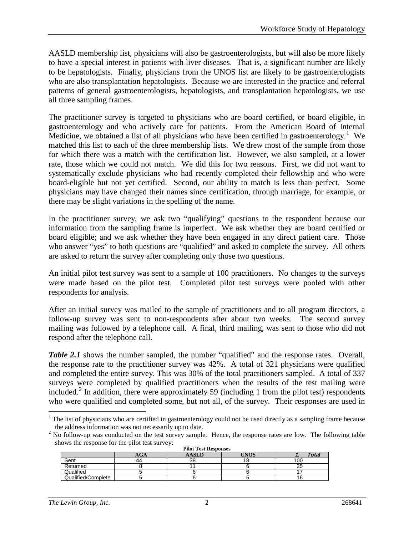AASLD membership list, physicians will also be gastroenterologists, but will also be more likely to have a special interest in patients with liver diseases. That is, a significant number are likely to be hepatologists. Finally, physicians from the UNOS list are likely to be gastroenterologists who are also transplantation hepatologists. Because we are interested in the practice and referral patterns of general gastroenterologists, hepatologists, and transplantation hepatologists, we use all three sampling frames.

The practitioner survey is targeted to physicians who are board certified, or board eligible, in gastroenterology and who actively care for patients. From the American Board of Internal Medicine, we obtained a list of all physicians who have been certified in gastroenterology.<sup>[1](#page-5-0)</sup> We matched this list to each of the three membership lists. We drew most of the sample from those for which there was a match with the certification list. However, we also sampled, at a lower rate, those which we could not match. We did this for two reasons. First, we did not want to systematically exclude physicians who had recently completed their fellowship and who were board-eligible but not yet certified. Second, our ability to match is less than perfect. Some physicians may have changed their names since certification, through marriage, for example, or there may be slight variations in the spelling of the name.

In the practitioner survey, we ask two "qualifying" questions to the respondent because our information from the sampling frame is imperfect. We ask whether they are board certified or board eligible; and we ask whether they have been engaged in any direct patient care. Those who answer "yes" to both questions are "qualified" and asked to complete the survey. All others are asked to return the survey after completing only those two questions.

An initial pilot test survey was sent to a sample of 100 practitioners. No changes to the surveys were made based on the pilot test. Completed pilot test surveys were pooled with other respondents for analysis.

After an initial survey was mailed to the sample of practitioners and to all program directors, a follow-up survey was sent to non-respondents after about two weeks. The second survey mailing was followed by a telephone call. A final, third mailing, was sent to those who did not respond after the telephone call.

*Table 2.1* shows the number sampled, the number "qualified" and the response rates. Overall, the response rate to the practitioner survey was 42%. A total of 321 physicians were qualified and completed the entire survey. This was 30% of the total practitioners sampled. A total of 337 surveys were completed by qualified practitioners when the results of the test mailing were included.[2](#page-5-1) In addition, there were approximately 59 (including 1 from the pilot test) respondents who were qualified and completed some, but not all, of the survey. Their responses are used in

<span id="page-5-1"></span> $2$  No follow-up was conducted on the test survey sample. Hence, the response rates are low. The following table shows the response for the pilot test survey: **Pilot Test Responses**

| <b>PHOL LEST RESPONSES</b> |     |        |      |              |  |  |
|----------------------------|-----|--------|------|--------------|--|--|
|                            | AGA |        | TNO. | <b>Total</b> |  |  |
| Sent                       | 44  | $\sim$ |      | 100          |  |  |
| Returned                   |     |        |      | ້            |  |  |
| <b>Qualified</b>           |     |        |      |              |  |  |
| Qualified/Complete         |     |        |      |              |  |  |

<span id="page-5-0"></span><sup>&</sup>lt;sup>1</sup> The list of physicians who are certified in gastroenterology could not be used directly as a sampling frame because the address information was not necessarily up to date.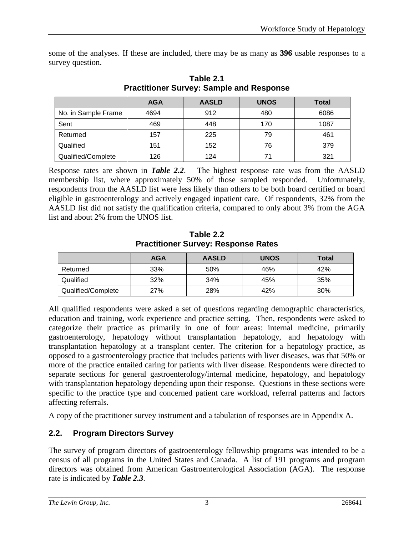some of the analyses. If these are included, there may be as many as **396** usable responses to a survey question.

|                     | <b>AGA</b> | <b>AASLD</b> | <b>UNOS</b> | <b>Total</b> |
|---------------------|------------|--------------|-------------|--------------|
| No. in Sample Frame | 4694       | 912          | 480         | 6086         |
| Sent                | 469        | 448          | 170         | 1087         |
| Returned            | 157        | 225          | 79          | 461          |
| Qualified           | 151        | 152          | 76          | 379          |
| Qualified/Complete  | 126        | 124          | 71          | 321          |

**Table 2.1 Practitioner Survey: Sample and Response**

Response rates are shown in *Table 2.2*. The highest response rate was from the AASLD membership list, where approximately 50% of those sampled responded. Unfortunately, respondents from the AASLD list were less likely than others to be both board certified or board eligible in gastroenterology and actively engaged inpatient care. Of respondents, 32% from the AASLD list did not satisfy the qualification criteria, compared to only about 3% from the AGA list and about 2% from the UNOS list.

|                    | <b>AGA</b> | <b>AASLD</b> | <b>UNOS</b> | <b>Total</b> |
|--------------------|------------|--------------|-------------|--------------|
| Returned           | 33%        | 50%          | 46%         | 42%          |
| Qualified          | 32%        | 34%          | 45%         | 35%          |
| Qualified/Complete | 27%        | 28%          | 42%         | 30%          |

**Table 2.2 Practitioner Survey: Response Rates**

All qualified respondents were asked a set of questions regarding demographic characteristics, education and training, work experience and practice setting. Then, respondents were asked to categorize their practice as primarily in one of four areas: internal medicine, primarily gastroenterology, hepatology without transplantation hepatology, and hepatology with transplantation hepatology at a transplant center. The criterion for a hepatology practice, as opposed to a gastroenterology practice that includes patients with liver diseases, was that 50% or more of the practice entailed caring for patients with liver disease. Respondents were directed to separate sections for general gastroenterology/internal medicine, hepatology, and hepatology with transplantation hepatology depending upon their response. Questions in these sections were specific to the practice type and concerned patient care workload, referral patterns and factors affecting referrals.

A copy of the practitioner survey instrument and a tabulation of responses are in Appendix A.

# **2.2. Program Directors Survey**

The survey of program directors of gastroenterology fellowship programs was intended to be a census of all programs in the United States and Canada. A list of 191 programs and program directors was obtained from American Gastroenterological Association (AGA). The response rate is indicated by *Table 2.3*.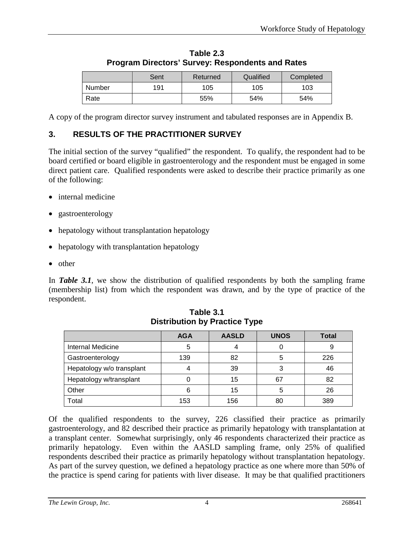|        | Sent | Returned | Qualified | Completed |
|--------|------|----------|-----------|-----------|
| Number | 191  | 105      | 105       | 103       |
| Rate   |      | 55%      | 54%       | 54%       |

**Table 2.3 Program Directors' Survey: Respondents and Rates**

A copy of the program director survey instrument and tabulated responses are in Appendix B.

# **3. RESULTS OF THE PRACTITIONER SURVEY**

The initial section of the survey "qualified" the respondent. To qualify, the respondent had to be board certified or board eligible in gastroenterology and the respondent must be engaged in some direct patient care. Qualified respondents were asked to describe their practice primarily as one of the following:

- internal medicine
- gastroenterology
- hepatology without transplantation hepatology
- hepatology with transplantation hepatology
- other

In **Table 3.1**, we show the distribution of qualified respondents by both the sampling frame (membership list) from which the respondent was drawn, and by the type of practice of the respondent.

|                           | <b>AGA</b> | <b>AASLD</b> | <b>UNOS</b> | <b>Total</b> |
|---------------------------|------------|--------------|-------------|--------------|
| Internal Medicine         | 5          |              |             |              |
| Gastroenterology          | 139        | 82           | 5           | 226          |
| Hepatology w/o transplant |            | 39           | 3           | 46           |
| Hepatology w/transplant   |            | 15           | 67          | 82           |
| Other                     | 6          | 15           | 5           | 26           |
| Total                     | 153        | 156          | 80          | 389          |

**Table 3.1 Distribution by Practice Type**

Of the qualified respondents to the survey, 226 classified their practice as primarily gastroenterology, and 82 described their practice as primarily hepatology with transplantation at a transplant center. Somewhat surprisingly, only 46 respondents characterized their practice as primarily hepatology. Even within the AASLD sampling frame, only 25% of qualified respondents described their practice as primarily hepatology without transplantation hepatology. As part of the survey question, we defined a hepatology practice as one where more than 50% of the practice is spend caring for patients with liver disease. It may be that qualified practitioners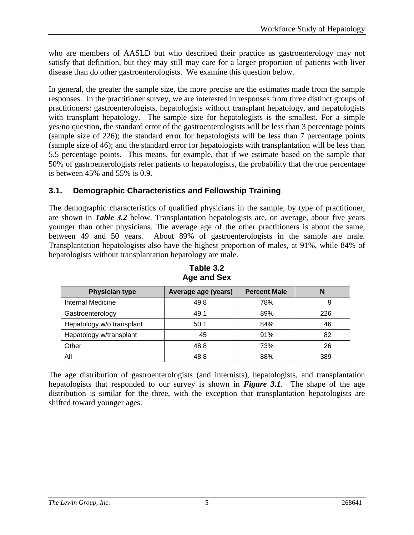who are members of AASLD but who described their practice as gastroenterology may not satisfy that definition, but they may still may care for a larger proportion of patients with liver disease than do other gastroenterologists. We examine this question below.

In general, the greater the sample size, the more precise are the estimates made from the sample responses. In the practitioner survey, we are interested in responses from three distinct groups of practitioners: gastroenterologists, hepatologists without transplant hepatology, and hepatologists with transplant hepatology. The sample size for hepatologists is the smallest. For a simple yes/no question, the standard error of the gastroenterologists will be less than 3 percentage points (sample size of 226); the standard error for hepatologists will be less than 7 percentage points (sample size of 46); and the standard error for hepatologists with transplantation will be less than 5.5 percentage points. This means, for example, that if we estimate based on the sample that 50% of gastroenterologists refer patients to hepatologists, the probability that the true percentage is between 45% and 55% is 0.9.

# **3.1. Demographic Characteristics and Fellowship Training**

The demographic characteristics of qualified physicians in the sample, by type of practitioner, are shown in *Table 3.2* below. Transplantation hepatologists are, on average, about five years younger than other physicians. The average age of the other practitioners is about the same, between 49 and 50 years. About 89% of gastroenterologists in the sample are male. Transplantation hepatologists also have the highest proportion of males, at 91%, while 84% of hepatologists without transplantation hepatology are male.

| <b>Physician type</b>     | Average age (years) | <b>Percent Male</b> | N   |
|---------------------------|---------------------|---------------------|-----|
| <b>Internal Medicine</b>  | 49.8                | 78%                 |     |
| Gastroenterology          | 49.1                | 89%                 | 226 |
| Hepatology w/o transplant | 50.1                | 84%                 | 46  |
| Hepatology w/transplant   | 45                  | 91%                 | 82  |
| Other                     | 48.8                | 73%                 | 26  |
| All                       | 48.8                | 88%                 | 389 |

**Table 3.2 Age and Sex**

The age distribution of gastroenterologists (and internists), hepatologists, and transplantation hepatologists that responded to our survey is shown in *Figure 3.1*. The shape of the age distribution is similar for the three, with the exception that transplantation hepatologists are shifted toward younger ages.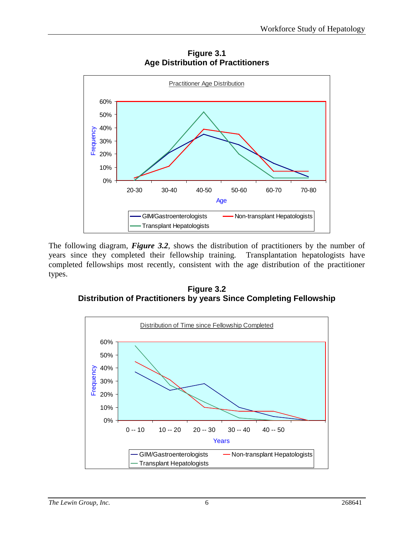

**Figure 3.1 Age Distribution of Practitioners**

The following diagram, *Figure 3.2*, shows the distribution of practitioners by the number of years since they completed their fellowship training. Transplantation hepatologists have completed fellowships most recently, consistent with the age distribution of the practitioner types.

**Figure 3.2 Distribution of Practitioners by years Since Completing Fellowship**

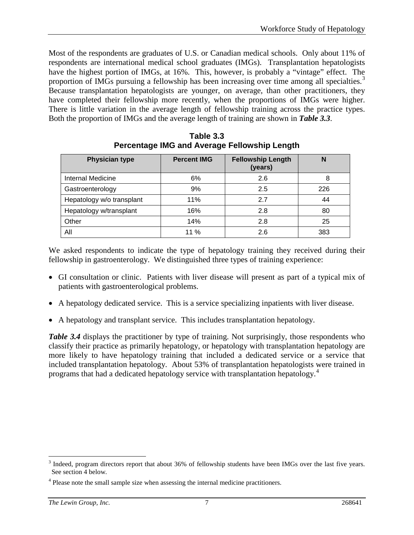Most of the respondents are graduates of U.S. or Canadian medical schools. Only about 11% of respondents are international medical school graduates (IMGs). Transplantation hepatologists have the highest portion of IMGs, at 16%. This, however, is probably a "vintage" effect. The proportion of IMGs pursuing a fellowship has been increasing over time among all specialties.<sup>[3](#page-10-0)</sup> Because transplantation hepatologists are younger, on average, than other practitioners, they have completed their fellowship more recently, when the proportions of IMGs were higher. There is little variation in the average length of fellowship training across the practice types. Both the proportion of IMGs and the average length of training are shown in *Table 3.3*.

| <b>Physician type</b>     | <b>Percent IMG</b> | <b>Fellowship Length</b><br>(years) | N   |
|---------------------------|--------------------|-------------------------------------|-----|
| Internal Medicine         | 6%                 | 2.6                                 | 8   |
| Gastroenterology          | 9%                 | 2.5                                 | 226 |
| Hepatology w/o transplant | 11%                | 2.7                                 | 44  |
| Hepatology w/transplant   | 16%                | 2.8                                 | 80  |
| Other                     | 14%                | 2.8                                 | 25  |
| All                       | 11%                | 2.6                                 | 383 |

**Table 3.3 Percentage IMG and Average Fellowship Length**

We asked respondents to indicate the type of hepatology training they received during their fellowship in gastroenterology. We distinguished three types of training experience:

- GI consultation or clinic. Patients with liver disease will present as part of a typical mix of patients with gastroenterological problems.
- A hepatology dedicated service. This is a service specializing inpatients with liver disease.
- A hepatology and transplant service. This includes transplantation hepatology.

*Table 3.4* displays the practitioner by type of training. Not surprisingly, those respondents who classify their practice as primarily hepatology, or hepatology with transplantation hepatology are more likely to have hepatology training that included a dedicated service or a service that included transplantation hepatology. About 53% of transplantation hepatologists were trained in programs that had a dedicated hepatology service with transplantation hepatology.[4](#page-10-1)

<span id="page-10-0"></span><sup>&</sup>lt;sup>3</sup> Indeed, program directors report that about 36% of fellowship students have been IMGs over the last five years. See section 4 below.

<span id="page-10-1"></span><sup>&</sup>lt;sup>4</sup> Please note the small sample size when assessing the internal medicine practitioners.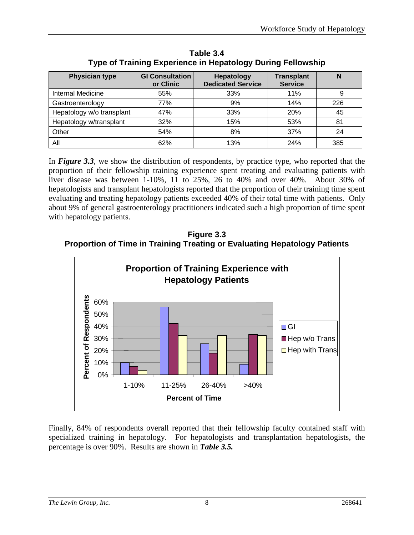| <b>Physician type</b>     | <b>GI Consultation</b><br>or Clinic | <b>Hepatology</b><br><b>Dedicated Service</b> | <b>Transplant</b><br><b>Service</b> | N   |
|---------------------------|-------------------------------------|-----------------------------------------------|-------------------------------------|-----|
| Internal Medicine         | 55%                                 | 33%                                           | 11%                                 | 9   |
| Gastroenterology          | 77%                                 | 9%                                            | 14%                                 | 226 |
| Hepatology w/o transplant | 47%                                 | 33%                                           | 20%                                 | 45  |
| Hepatology w/transplant   | 32%                                 | 15%                                           | 53%                                 | 81  |
| Other                     | 54%                                 | 8%                                            | 37%                                 | 24  |
| All                       | 62%                                 | 13%                                           | 24%                                 | 385 |

**Table 3.4 Type of Training Experience in Hepatology During Fellowship**

In *Figure 3.3*, we show the distribution of respondents, by practice type, who reported that the proportion of their fellowship training experience spent treating and evaluating patients with liver disease was between 1-10%, 11 to 25%, 26 to 40% and over 40%. About 30% of hepatologists and transplant hepatologists reported that the proportion of their training time spent evaluating and treating hepatology patients exceeded 40% of their total time with patients. Only about 9% of general gastroenterology practitioners indicated such a high proportion of time spent with hepatology patients.

**Figure 3.3 Proportion of Time in Training Treating or Evaluating Hepatology Patients**



Finally, 84% of respondents overall reported that their fellowship faculty contained staff with specialized training in hepatology. For hepatologists and transplantation hepatologists, the percentage is over 90%. Results are shown in *Table 3.5.*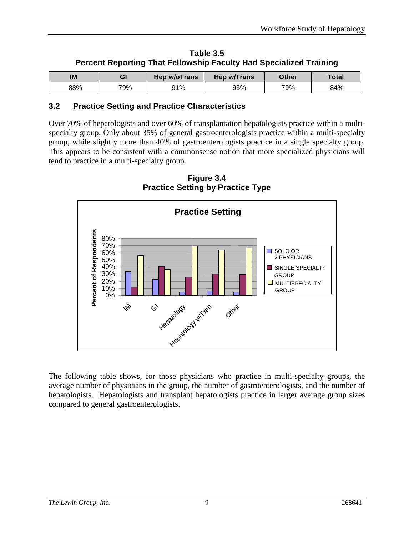| Table 3.5                                                                 |
|---------------------------------------------------------------------------|
| <b>Percent Reporting That Fellowship Faculty Had Specialized Training</b> |

| IM  | GI  | <b>Hep w/oTrans</b> | Hep w/Trans | Other | Total |
|-----|-----|---------------------|-------------|-------|-------|
| 88% | 79% | 91%                 | 95%         | 79%   | 84%   |

# **3.2 Practice Setting and Practice Characteristics**

Over 70% of hepatologists and over 60% of transplantation hepatologists practice within a multispecialty group. Only about 35% of general gastroenterologists practice within a multi-specialty group, while slightly more than 40% of gastroenterologists practice in a single specialty group. This appears to be consistent with a commonsense notion that more specialized physicians will tend to practice in a multi-specialty group.



**Figure 3.4 Practice Setting by Practice Type**

The following table shows, for those physicians who practice in multi-specialty groups, the average number of physicians in the group, the number of gastroenterologists, and the number of hepatologists. Hepatologists and transplant hepatologists practice in larger average group sizes compared to general gastroenterologists.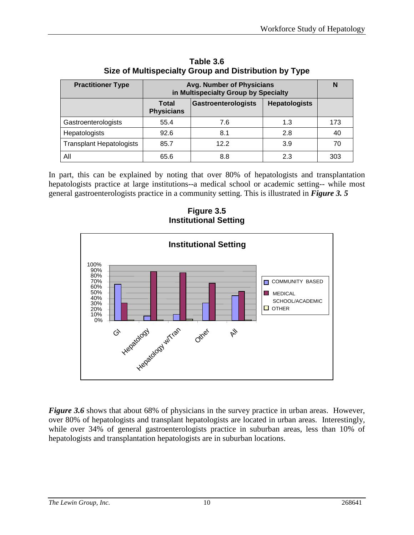| <b>Practitioner Type</b>        | <b>Avg. Number of Physicians</b><br>in Multispecialty Group by Specialty |                            |                      |     |
|---------------------------------|--------------------------------------------------------------------------|----------------------------|----------------------|-----|
|                                 | <b>Total</b><br><b>Physicians</b>                                        | <b>Gastroenterologists</b> | <b>Hepatologists</b> |     |
| Gastroenterologists             | 55.4                                                                     | 7.6                        | 1.3                  | 173 |
| Hepatologists                   | 92.6                                                                     | 8.1                        | 2.8                  | 40  |
| <b>Transplant Hepatologists</b> | 85.7                                                                     | 12.2                       | 3.9                  | 70  |
| All                             | 65.6                                                                     | 8.8                        | 2.3                  | 303 |

**Table 3.6 Size of Multispecialty Group and Distribution by Type** 

In part, this can be explained by noting that over 80% of hepatologists and transplantation hepatologists practice at large institutions--a medical school or academic setting-- while most general gastroenterologists practice in a community setting. This is illustrated in *Figure 3. 5*

**Figure 3.5 Institutional Setting**



*Figure* 3.6 shows that about 68% of physicians in the survey practice in urban areas. However, over 80% of hepatologists and transplant hepatologists are located in urban areas. Interestingly, while over 34% of general gastroenterologists practice in suburban areas, less than 10% of hepatologists and transplantation hepatologists are in suburban locations.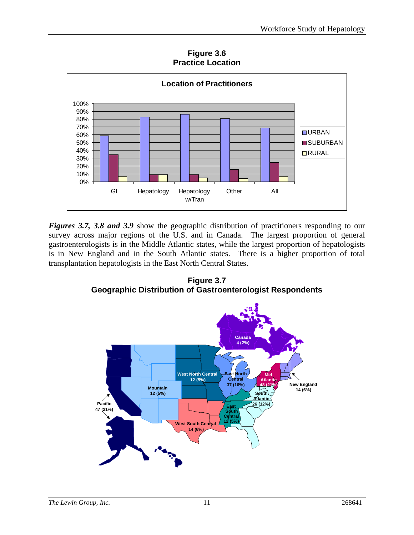**Figure 3.6 Practice Location**



*Figures 3.7, 3.8 and 3.9 show the geographic distribution of practitioners responding to our* survey across major regions of the U.S. and in Canada. The largest proportion of general gastroenterologists is in the Middle Atlantic states, while the largest proportion of hepatologists is in New England and in the South Atlantic states. There is a higher proportion of total transplantation hepatologists in the East North Central States.

**Figure 3.7 Geographic Distribution of Gastroenterologist Respondents**

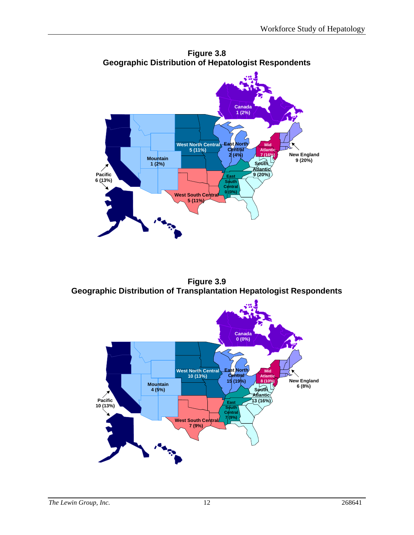

**Figure 3.8 Geographic Distribution of Hepatologist Respondents**

**Figure 3.9 Geographic Distribution of Transplantation Hepatologist Respondents**

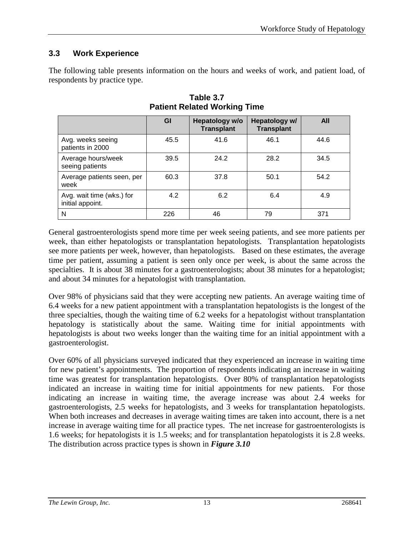# **3.3 Work Experience**

The following table presents information on the hours and weeks of work, and patient load, of respondents by practice type.

|                                               | GI   | Hepatology w/o<br><b>Transplant</b> | Hepatology w/<br><b>Transplant</b> | All  |
|-----------------------------------------------|------|-------------------------------------|------------------------------------|------|
| Avg. weeks seeing<br>patients in 2000         | 45.5 | 41.6                                | 46.1                               | 44.6 |
| Average hours/week<br>seeing patients         | 39.5 | 24.2                                | 28.2                               | 34.5 |
| Average patients seen, per<br>week            | 60.3 | 37.8                                | 50.1                               | 54.2 |
| Avg. wait time (wks.) for<br>initial appoint. | 4.2  | 6.2                                 | 6.4                                | 4.9  |
| N                                             | 226  | 46                                  | 79                                 | 371  |

**Table 3.7 Patient Related Working Time**

General gastroenterologists spend more time per week seeing patients, and see more patients per week, than either hepatologists or transplantation hepatologists. Transplantation hepatologists see more patients per week, however, than hepatologists. Based on these estimates, the average time per patient, assuming a patient is seen only once per week, is about the same across the specialties. It is about 38 minutes for a gastroenterologists; about 38 minutes for a hepatologist; and about 34 minutes for a hepatologist with transplantation.

Over 98% of physicians said that they were accepting new patients. An average waiting time of 6.4 weeks for a new patient appointment with a transplantation hepatologists is the longest of the three specialties, though the waiting time of 6.2 weeks for a hepatologist without transplantation hepatology is statistically about the same. Waiting time for initial appointments with hepatologists is about two weeks longer than the waiting time for an initial appointment with a gastroenterologist.

Over 60% of all physicians surveyed indicated that they experienced an increase in waiting time for new patient's appointments. The proportion of respondents indicating an increase in waiting time was greatest for transplantation hepatologists. Over 80% of transplantation hepatologists indicated an increase in waiting time for initial appointments for new patients. For those indicating an increase in waiting time, the average increase was about 2.4 weeks for gastroenterologists, 2.5 weeks for hepatologists, and 3 weeks for transplantation hepatologists. When both increases and decreases in average waiting times are taken into account, there is a net increase in average waiting time for all practice types. The net increase for gastroenterologists is 1.6 weeks; for hepatologists it is 1.5 weeks; and for transplantation hepatologists it is 2.8 weeks. The distribution across practice types is shown in *Figure 3.10*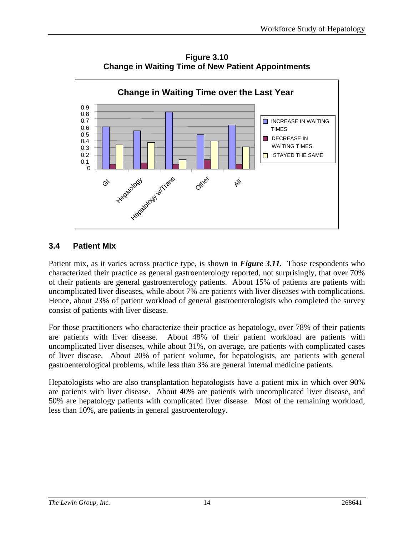

**Figure 3.10 Change in Waiting Time of New Patient Appointments**

# **3.4 Patient Mix**

Patient mix, as it varies across practice type, is shown in *Figure 3.11.* Those respondents who characterized their practice as general gastroenterology reported, not surprisingly, that over 70% of their patients are general gastroenterology patients. About 15% of patients are patients with uncomplicated liver diseases, while about 7% are patients with liver diseases with complications. Hence, about 23% of patient workload of general gastroenterologists who completed the survey consist of patients with liver disease.

For those practitioners who characterize their practice as hepatology, over 78% of their patients are patients with liver disease. About 48% of their patient workload are patients with uncomplicated liver diseases, while about 31%, on average, are patients with complicated cases of liver disease. About 20% of patient volume, for hepatologists, are patients with general gastroenterological problems, while less than 3% are general internal medicine patients.

Hepatologists who are also transplantation hepatologists have a patient mix in which over 90% are patients with liver disease. About 40% are patients with uncomplicated liver disease, and 50% are hepatology patients with complicated liver disease. Most of the remaining workload, less than 10%, are patients in general gastroenterology.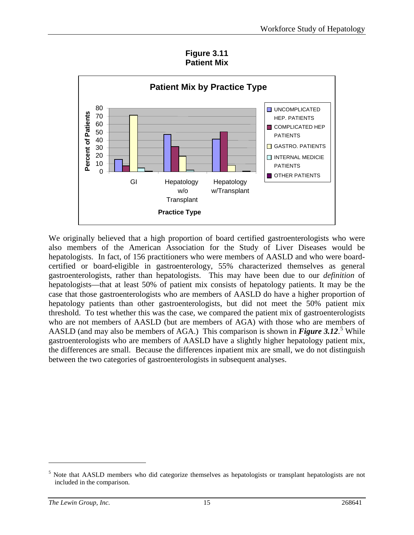**Figure 3.11 Patient Mix**



We originally believed that a high proportion of board certified gastroenterologists who were also members of the American Association for the Study of Liver Diseases would be hepatologists. In fact, of 156 practitioners who were members of AASLD and who were boardcertified or board-eligible in gastroenterology, 55% characterized themselves as general gastroenterologists, rather than hepatologists. This may have been due to our *definition* of hepatologists—that at least 50% of patient mix consists of hepatology patients. It may be the case that those gastroenterologists who are members of AASLD do have a higher proportion of hepatology patients than other gastroenterologists, but did not meet the 50% patient mix threshold. To test whether this was the case, we compared the patient mix of gastroenterologists who are not members of AASLD (but are members of AGA) with those who are members of AASLD (and may also be members of AGA.) This comparison is shown in *Figure* 3.12.<sup>[5](#page-18-0)</sup> While gastroenterologists who are members of AASLD have a slightly higher hepatology patient mix, the differences are small. Because the differences inpatient mix are small, we do not distinguish between the two categories of gastroenterologists in subsequent analyses.

 $\overline{a}$ 

<span id="page-18-0"></span><sup>&</sup>lt;sup>5</sup> Note that AASLD members who did categorize themselves as hepatologists or transplant hepatologists are not included in the comparison.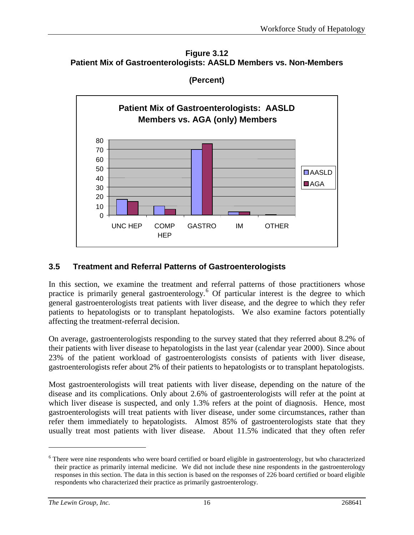**Figure 3.12 Patient Mix of Gastroenterologists: AASLD Members vs. Non-Members**



**(Percent)**

# **3.5 Treatment and Referral Patterns of Gastroenterologists**

In this section, we examine the treatment and referral patterns of those practitioners whose practice is primarily general gastroenterology.<sup>[6](#page-19-0)</sup> Of particular interest is the degree to which general gastroenterologists treat patients with liver disease, and the degree to which they refer patients to hepatologists or to transplant hepatologists. We also examine factors potentially affecting the treatment-referral decision.

On average, gastroenterologists responding to the survey stated that they referred about 8.2% of their patients with liver disease to hepatologists in the last year (calendar year 2000). Since about 23% of the patient workload of gastroenterologists consists of patients with liver disease, gastroenterologists refer about 2% of their patients to hepatologists or to transplant hepatologists.

Most gastroenterologists will treat patients with liver disease, depending on the nature of the disease and its complications. Only about 2.6% of gastroenterologists will refer at the point at which liver disease is suspected, and only 1.3% refers at the point of diagnosis. Hence, most gastroenterologists will treat patients with liver disease, under some circumstances, rather than refer them immediately to hepatologists. Almost 85% of gastroenterologists state that they usually treat most patients with liver disease. About 11.5% indicated that they often refer

 $\overline{a}$ 

<span id="page-19-0"></span><sup>&</sup>lt;sup>6</sup> There were nine respondents who were board certified or board eligible in gastroenterology, but who characterized their practice as primarily internal medicine. We did not include these nine respondents in the gastroenterology responses in this section. The data in this section is based on the responses of 226 board certified or board eligible respondents who characterized their practice as primarily gastroenterology.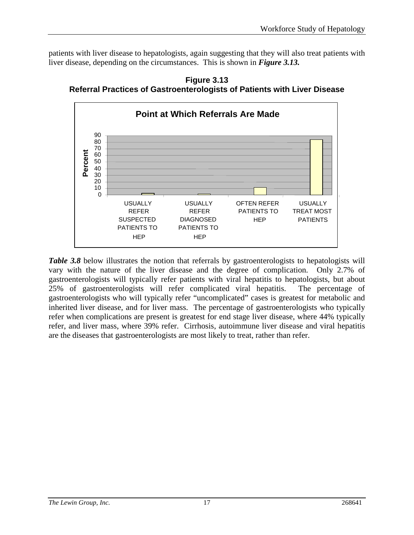patients with liver disease to hepatologists, again suggesting that they will also treat patients with liver disease, depending on the circumstances. This is shown in *Figure 3.13.*





*Table 3.8* below illustrates the notion that referrals by gastroenterologists to hepatologists will vary with the nature of the liver disease and the degree of complication. Only 2.7% of gastroenterologists will typically refer patients with viral hepatitis to hepatologists, but about 25% of gastroenterologists will refer complicated viral hepatitis. The percentage of gastroenterologists who will typically refer "uncomplicated" cases is greatest for metabolic and inherited liver disease, and for liver mass. The percentage of gastroenterologists who typically refer when complications are present is greatest for end stage liver disease, where 44% typically refer, and liver mass, where 39% refer. Cirrhosis, autoimmune liver disease and viral hepatitis are the diseases that gastroenterologists are most likely to treat, rather than refer.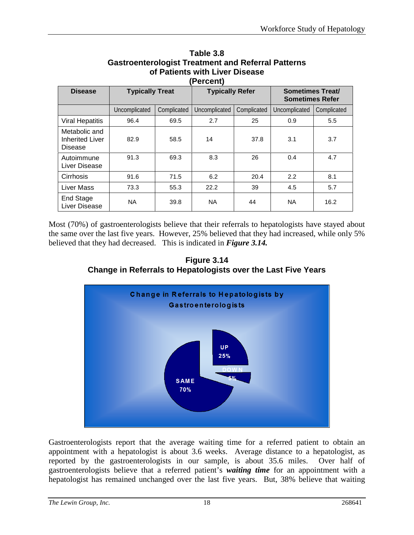| (Percent)                                                 |                        |                                                                             |               |             |               |             |  |
|-----------------------------------------------------------|------------------------|-----------------------------------------------------------------------------|---------------|-------------|---------------|-------------|--|
| <b>Disease</b>                                            | <b>Typically Treat</b> | <b>Typically Refer</b><br><b>Sometimes Treat/</b><br><b>Sometimes Refer</b> |               |             |               |             |  |
|                                                           | Uncomplicated          | Complicated                                                                 | Uncomplicated | Complicated | Uncomplicated | Complicated |  |
| <b>Viral Hepatitis</b>                                    | 96.4                   | 69.5                                                                        | 2.7           | 25          | 0.9           | 5.5         |  |
| Metabolic and<br><b>Inherited Liver</b><br><b>Disease</b> | 82.9                   | 58.5                                                                        | 14            | 37.8        | 3.1           | 3.7         |  |
| Autoimmune<br>Liver Disease                               | 91.3                   | 69.3                                                                        | 8.3           | 26          | 0.4           | 4.7         |  |
| Cirrhosis                                                 | 91.6                   | 71.5                                                                        | 6.2           | 20.4        | 2.2           | 8.1         |  |
| Liver Mass                                                | 73.3                   | 55.3                                                                        | 22.2          | 39          | 4.5           | 5.7         |  |
| End Stage<br>Liver Disease                                | <b>NA</b>              | 39.8                                                                        | <b>NA</b>     | 44          | <b>NA</b>     | 16.2        |  |

# **Table 3.8 Gastroenterologist Treatment and Referral Patterns of Patients with Liver Disease**

Most (70%) of gastroenterologists believe that their referrals to hepatologists have stayed about the same over the last five years. However, 25% believed that they had increased, while only 5% believed that they had decreased. This is indicated in *Figure 3.14.*





Gastroenterologists report that the average waiting time for a referred patient to obtain an appointment with a hepatologist is about 3.6 weeks. Average distance to a hepatologist, as reported by the gastroenterologists in our sample, is about 35.6 miles. Over half of gastroenterologists believe that a referred patient's *waiting time* for an appointment with a hepatologist has remained unchanged over the last five years. But, 38% believe that waiting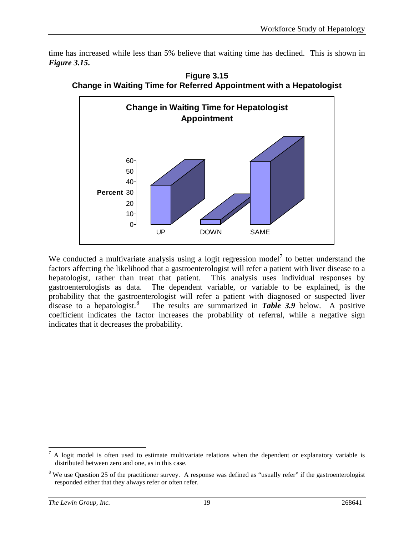time has increased while less than 5% believe that waiting time has declined. This is shown in *Figure 3.15***.**



**Figure 3.15 Change in Waiting Time for Referred Appointment with a Hepatologist**

We conducted a multivariate analysis using a logit regression model<sup>[7](#page-22-0)</sup> to better understand the factors affecting the likelihood that a gastroenterologist will refer a patient with liver disease to a hepatologist, rather than treat that patient. This analysis uses individual responses by gastroenterologists as data. The dependent variable, or variable to be explained, is the probability that the gastroenterologist will refer a patient with diagnosed or suspected liver disease to a hepatologist.<sup>[8](#page-22-1)</sup> The results are summarized in *Table 3.9* below. A positive coefficient indicates the factor increases the probability of referral, while a negative sign indicates that it decreases the probability.

<span id="page-22-0"></span> $<sup>7</sup>$  A logit model is often used to estimate multivariate relations when the dependent or explanatory variable is</sup> distributed between zero and one, as in this case.

<span id="page-22-1"></span><sup>&</sup>lt;sup>8</sup> We use Question 25 of the practitioner survey. A response was defined as "usually refer" if the gastroenterologist responded either that they always refer or often refer.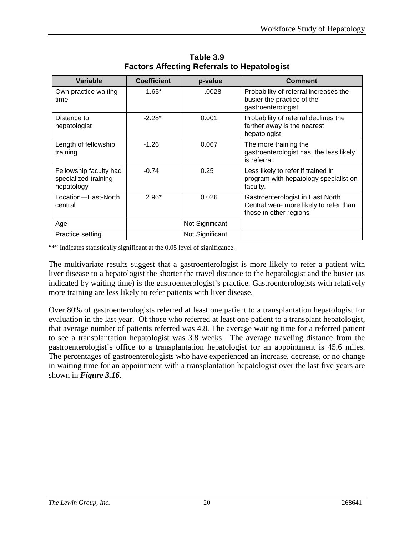| <b>Variable</b>                                              | <b>Coefficient</b> | p-value         | <b>Comment</b>                                                                                       |
|--------------------------------------------------------------|--------------------|-----------------|------------------------------------------------------------------------------------------------------|
| Own practice waiting<br>time                                 | $1.65*$            | .0028           | Probability of referral increases the<br>busier the practice of the<br>gastroenterologist            |
| Distance to<br>hepatologist                                  | $-2.28*$           | 0.001           | Probability of referral declines the<br>farther away is the nearest<br>hepatologist                  |
| Length of fellowship<br>training                             | $-1.26$            | 0.067           | The more training the<br>gastroenterologist has, the less likely<br>is referral                      |
| Fellowship faculty had<br>specialized training<br>hepatology | $-0.74$            | 0.25            | Less likely to refer if trained in<br>program with hepatology specialist on<br>faculty.              |
| Location-East-North<br>central                               | $2.96*$            | 0.026           | Gastroenterologist in East North<br>Central were more likely to refer than<br>those in other regions |
| Age                                                          |                    | Not Significant |                                                                                                      |
| Practice setting                                             |                    | Not Significant |                                                                                                      |

**Table 3.9 Factors Affecting Referrals to Hepatologist**

"\*" Indicates statistically significant at the 0.05 level of significance.

The multivariate results suggest that a gastroenterologist is more likely to refer a patient with liver disease to a hepatologist the shorter the travel distance to the hepatologist and the busier (as indicated by waiting time) is the gastroenterologist's practice. Gastroenterologists with relatively more training are less likely to refer patients with liver disease.

Over 80% of gastroenterologists referred at least one patient to a transplantation hepatologist for evaluation in the last year. Of those who referred at least one patient to a transplant hepatologist, that average number of patients referred was 4.8. The average waiting time for a referred patient to see a transplantation hepatologist was 3.8 weeks. The average traveling distance from the gastroenterologist's office to a transplantation hepatologist for an appointment is 45.6 miles. The percentages of gastroenterologists who have experienced an increase, decrease, or no change in waiting time for an appointment with a transplantation hepatologist over the last five years are shown in *Figure 3.16*.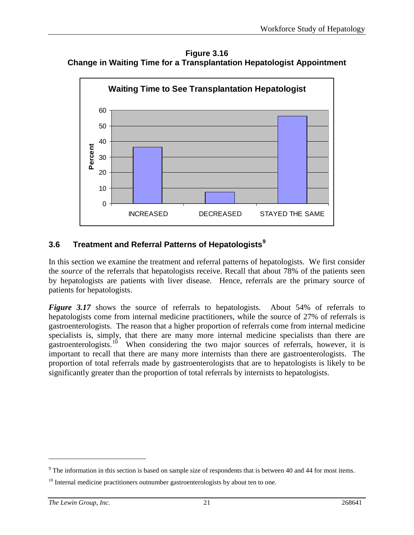**Figure 3.16 Change in Waiting Time for a Transplantation Hepatologist Appointment**



# **3.6 Treatment and Referral Patterns of Hepatologists[9](#page-24-0)**

In this section we examine the treatment and referral patterns of hepatologists. We first consider the *source* of the referrals that hepatologists receive. Recall that about 78% of the patients seen by hepatologists are patients with liver disease. Hence, referrals are the primary source of patients for hepatologists.

*Figure 3.17* shows the source of referrals to hepatologists. About 54% of referrals to hepatologists come from internal medicine practitioners, while the source of 27% of referrals is gastroenterologists. The reason that a higher proportion of referrals come from internal medicine specialists is, simply, that there are many more internal medicine specialists than there are gastroenterologists.[10](#page-24-1) When considering the two major sources of referrals, however, it is important to recall that there are many more internists than there are gastroenterologists. The proportion of total referrals made by gastroenterologists that are to hepatologists is likely to be significantly greater than the proportion of total referrals by internists to hepatologists.

 $\overline{a}$ 

<span id="page-24-0"></span> $9<sup>9</sup>$  The information in this section is based on sample size of respondents that is between 40 and 44 for most items.

<span id="page-24-1"></span> $10$  Internal medicine practitioners outnumber gastroenterologists by about ten to one.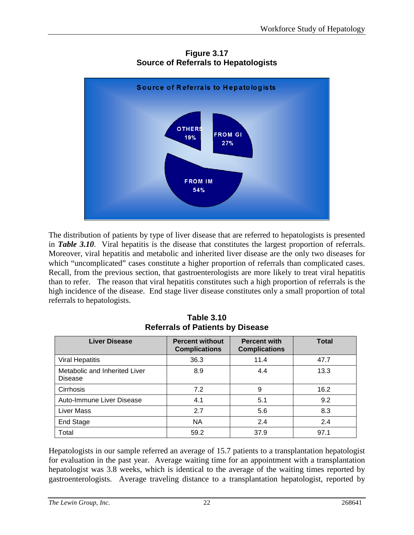

**Figure 3.17 Source of Referrals to Hepatologists**

The distribution of patients by type of liver disease that are referred to hepatologists is presented in *Table 3.10*. Viral hepatitis is the disease that constitutes the largest proportion of referrals. Moreover, viral hepatitis and metabolic and inherited liver disease are the only two diseases for which "uncomplicated" cases constitute a higher proportion of referrals than complicated cases. Recall, from the previous section, that gastroenterologists are more likely to treat viral hepatitis than to refer. The reason that viral hepatitis constitutes such a high proportion of referrals is the high incidence of the disease. End stage liver disease constitutes only a small proportion of total referrals to hepatologists.

| <b>Liver Disease</b>                            | <b>Percent without</b><br><b>Complications</b> | <b>Percent with</b><br><b>Complications</b> | <b>Total</b> |
|-------------------------------------------------|------------------------------------------------|---------------------------------------------|--------------|
| <b>Viral Hepatitis</b>                          | 36.3                                           | 11.4                                        | 47.7         |
| Metabolic and Inherited Liver<br><b>Disease</b> | 8.9                                            | 4.4                                         | 13.3         |
| Cirrhosis                                       | 7.2                                            | 9                                           | 16.2         |
| Auto-Immune Liver Disease                       | 4.1                                            | 5.1                                         | 9.2          |
| <b>Liver Mass</b>                               | 2.7                                            | 5.6                                         | 8.3          |
| End Stage                                       | <b>NA</b>                                      | 2.4                                         | 2.4          |
| Total                                           | 59.2                                           | 37.9                                        | 97.1         |

**Table 3.10 Referrals of Patients by Disease**

Hepatologists in our sample referred an average of 15.7 patients to a transplantation hepatologist for evaluation in the past year. Average waiting time for an appointment with a transplantation hepatologist was 3.8 weeks, which is identical to the average of the waiting times reported by gastroenterologists. Average traveling distance to a transplantation hepatologist, reported by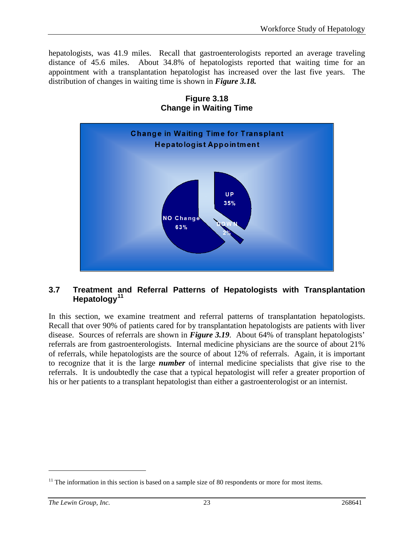hepatologists, was 41.9 miles. Recall that gastroenterologists reported an average traveling distance of 45.6 miles. About 34.8% of hepatologists reported that waiting time for an appointment with a transplantation hepatologist has increased over the last five years. The distribution of changes in waiting time is shown in *Figure 3.18.*



# **Figure 3.18 Change in Waiting Time**

# **3.7 Treatment and Referral Patterns of Hepatologists with Transplantation Hepatology[11](#page-26-0)**

In this section, we examine treatment and referral patterns of transplantation hepatologists. Recall that over 90% of patients cared for by transplantation hepatologists are patients with liver disease. Sources of referrals are shown in *Figure 3.19*. About 64% of transplant hepatologists' referrals are from gastroenterologists. Internal medicine physicians are the source of about 21% of referrals, while hepatologists are the source of about 12% of referrals. Again, it is important to recognize that it is the large *number* of internal medicine specialists that give rise to the referrals. It is undoubtedly the case that a typical hepatologist will refer a greater proportion of his or her patients to a transplant hepatologist than either a gastroenterologist or an internist.

 $\overline{a}$ 

<span id="page-26-0"></span> $<sup>11</sup>$  The information in this section is based on a sample size of 80 respondents or more for most items.</sup>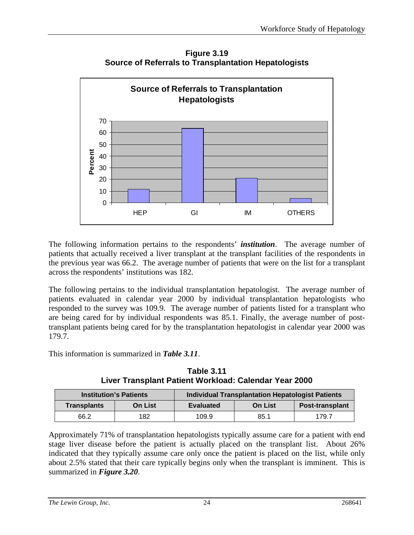**Figure 3.19 Source of Referrals to Transplantation Hepatologists**



The following information pertains to the respondents' *institution*. The average number of patients that actually received a liver transplant at the transplant facilities of the respondents in the previous year was 66.2. The average number of patients that were on the list for a transplant across the respondents' institutions was 182.

The following pertains to the individual transplantation hepatologist. The average number of patients evaluated in calendar year 2000 by individual transplantation hepatologists who responded to the survey was 109.9. The average number of patients listed for a transplant who are being cared for by individual respondents was 85.1. Finally, the average number of posttransplant patients being cared for by the transplantation hepatologist in calendar year 2000 was 179.7.

This information is summarized in *Table 3.11*.

|                    | <b>Institution's Patients</b> | <b>Individual Transplantation Hepatologist Patients</b> |                        |       |
|--------------------|-------------------------------|---------------------------------------------------------|------------------------|-------|
| <b>Transplants</b> | <b>On List</b>                | <b>Evaluated</b>                                        | <b>Post-transplant</b> |       |
| 66.2               | 182                           | 109.9                                                   | 85.1                   | 179.7 |

**Table 3.11 Liver Transplant Patient Workload: Calendar Year 2000**

Approximately 71% of transplantation hepatologists typically assume care for a patient with end stage liver disease before the patient is actually placed on the transplant list. About 26% indicated that they typically assume care only once the patient is placed on the list, while only about 2.5% stated that their care typically begins only when the transplant is imminent. This is summarized in *Figure 3.20*.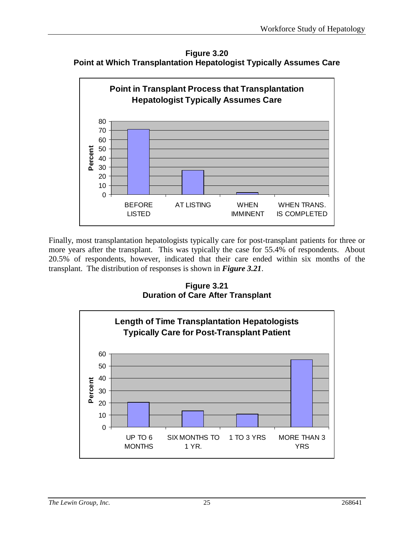**Figure 3.20 Point at Which Transplantation Hepatologist Typically Assumes Care**



Finally, most transplantation hepatologists typically care for post-transplant patients for three or more years after the transplant. This was typically the case for 55.4% of respondents. About 20.5% of respondents, however, indicated that their care ended within six months of the transplant. The distribution of responses is shown in *Figure 3.21*.

**Figure 3.21 Duration of Care After Transplant**

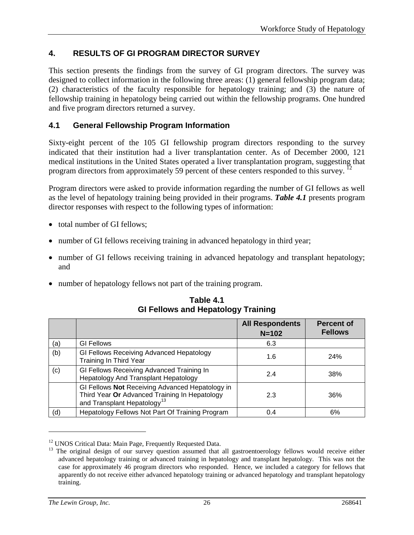# **4. RESULTS OF GI PROGRAM DIRECTOR SURVEY**

This section presents the findings from the survey of GI program directors. The survey was designed to collect information in the following three areas: (1) general fellowship program data; (2) characteristics of the faculty responsible for hepatology training; and (3) the nature of fellowship training in hepatology being carried out within the fellowship programs. One hundred and five program directors returned a survey.

# **4.1 General Fellowship Program Information**

Sixty-eight percent of the 105 GI fellowship program directors responding to the survey indicated that their institution had a liver transplantation center. As of December 2000, 121 medical institutions in the United States operated a liver transplantation program, suggesting that program directors from approximately 59 percent of these centers responded to this survey. <sup>12</sup>

Program directors were asked to provide information regarding the number of GI fellows as well as the level of hepatology training being provided in their programs. *Table 4.1* presents program director responses with respect to the following types of information:

- total number of GI fellows:
- number of GI fellows receiving training in advanced hepatology in third year;
- number of GI fellows receiving training in advanced hepatology and transplant hepatology; and
- number of hepatology fellows not part of the training program.

|     |                                                                                                                                             | <b>All Respondents</b><br>$N = 102$ | <b>Percent of</b><br><b>Fellows</b> |
|-----|---------------------------------------------------------------------------------------------------------------------------------------------|-------------------------------------|-------------------------------------|
| (a) | <b>GI Fellows</b>                                                                                                                           | 6.3                                 |                                     |
| (b) | GI Fellows Receiving Advanced Hepatology<br>Training In Third Year                                                                          | 1.6                                 | <b>24%</b>                          |
| (c) | GI Fellows Receiving Advanced Training In<br>Hepatology And Transplant Hepatology                                                           | 2.4                                 | 38%                                 |
|     | GI Fellows Not Receiving Advanced Hepatology in<br>Third Year Or Advanced Training In Hepatology<br>and Transplant Hepatology <sup>13</sup> | 2.3                                 | 36%                                 |
| (d) | Hepatology Fellows Not Part Of Training Program                                                                                             | 0.4                                 | 6%                                  |

**Table 4.1 GI Fellows and Hepatology Training** 

 $\overline{a}$ 

<span id="page-29-1"></span><span id="page-29-0"></span><sup>&</sup>lt;sup>12</sup> UNOS Critical Data: Main Page, Frequently Requested Data.<br><sup>13</sup> The original design of our survey question assumed that all gastroentoerology fellows would receive either advanced hepatology training or advanced training in hepatology and transplant hepatology. This was not the case for approximately 46 program directors who responded. Hence, we included a category for fellows that apparently do not receive either advanced hepatology training or advanced hepatology and transplant hepatology training.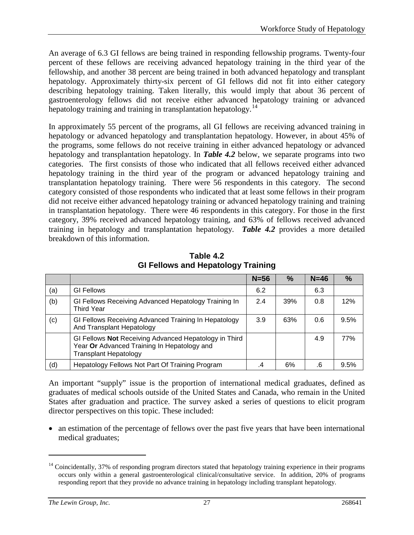An average of 6.3 GI fellows are being trained in responding fellowship programs. Twenty-four percent of these fellows are receiving advanced hepatology training in the third year of the fellowship, and another 38 percent are being trained in both advanced hepatology and transplant hepatology. Approximately thirty-six percent of GI fellows did not fit into either category describing hepatology training. Taken literally, this would imply that about 36 percent of gastroenterology fellows did not receive either advanced hepatology training or advanced hepatology training and training in transplantation hepatology.<sup>[14](#page-30-0)</sup>

In approximately 55 percent of the programs, all GI fellows are receiving advanced training in hepatology or advanced hepatology and transplantation hepatology. However, in about 45% of the programs, some fellows do not receive training in either advanced hepatology or advanced hepatology and transplantation hepatology. In *Table 4.2* below, we separate programs into two categories. The first consists of those who indicated that all fellows received either advanced hepatology training in the third year of the program or advanced hepatology training and transplantation hepatology training. There were 56 respondents in this category. The second category consisted of those respondents who indicated that at least some fellows in their program did not receive either advanced hepatology training or advanced hepatology training and training in transplantation hepatology. There were 46 respondents in this category. For those in the first category, 39% received advanced hepatology training, and 63% of fellows received advanced training in hepatology and transplantation hepatology. *Table 4.2* provides a more detailed breakdown of this information.

|     |                                                                                                                                      | $N = 56$ | $\%$ | $N=46$ | $\%$ |
|-----|--------------------------------------------------------------------------------------------------------------------------------------|----------|------|--------|------|
| (a) | <b>GI Fellows</b>                                                                                                                    | 6.2      |      | 6.3    |      |
| (b) | GI Fellows Receiving Advanced Hepatology Training In<br><b>Third Year</b>                                                            | 2.4      | 39%  | 0.8    | 12%  |
| (c) | GI Fellows Receiving Advanced Training In Hepatology<br>And Transplant Hepatology                                                    | 3.9      | 63%  | 0.6    | 9.5% |
|     | GI Fellows Not Receiving Advanced Hepatology in Third<br>Year Or Advanced Training In Hepatology and<br><b>Transplant Hepatology</b> |          |      | 4.9    | 77%  |
| (d) | Hepatology Fellows Not Part Of Training Program                                                                                      | .4       | 6%   | .6     | 9.5% |

**Table 4.2 GI Fellows and Hepatology Training** 

An important "supply" issue is the proportion of international medical graduates, defined as graduates of medical schools outside of the United States and Canada, who remain in the United States after graduation and practice. The survey asked a series of questions to elicit program director perspectives on this topic. These included:

• an estimation of the percentage of fellows over the past five years that have been international medical graduates;

 $\overline{a}$ 

<span id="page-30-0"></span> $14$  Coincidentally, 37% of responding program directors stated that hepatology training experience in their programs occurs only within a general gastroenterological clinical/consultative service. In addition, 20% of programs responding report that they provide no advance training in hepatology including transplant hepatology.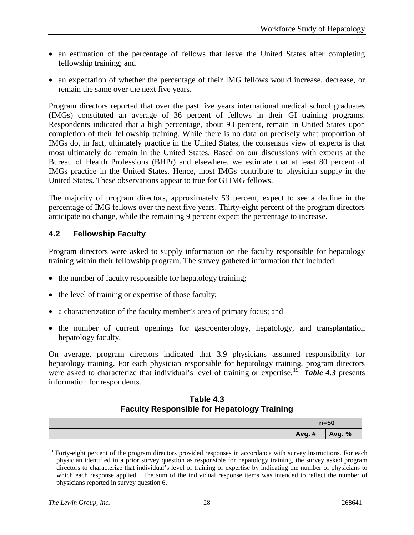- an estimation of the percentage of fellows that leave the United States after completing fellowship training; and
- an expectation of whether the percentage of their IMG fellows would increase, decrease, or remain the same over the next five years.

Program directors reported that over the past five years international medical school graduates (IMGs) constituted an average of 36 percent of fellows in their GI training programs. Respondents indicated that a high percentage, about 93 percent, remain in United States upon completion of their fellowship training. While there is no data on precisely what proportion of IMGs do, in fact, ultimately practice in the United States, the consensus view of experts is that most ultimately do remain in the United States. Based on our discussions with experts at the Bureau of Health Professions (BHPr) and elsewhere, we estimate that at least 80 percent of IMGs practice in the United States. Hence, most IMGs contribute to physician supply in the United States. These observations appear to true for GI IMG fellows.

The majority of program directors, approximately 53 percent, expect to see a decline in the percentage of IMG fellows over the next five years. Thirty-eight percent of the program directors anticipate no change, while the remaining 9 percent expect the percentage to increase.

# **4.2 Fellowship Faculty**

Program directors were asked to supply information on the faculty responsible for hepatology training within their fellowship program. The survey gathered information that included:

- the number of faculty responsible for hepatology training;
- the level of training or expertise of those faculty;
- a characterization of the faculty member's area of primary focus; and
- the number of current openings for gastroenterology, hepatology, and transplantation hepatology faculty.

On average, program directors indicated that 3.9 physicians assumed responsibility for hepatology training. For each physician responsible for hepatology training, program directors were asked to characterize that individual's level of training or expertise.<sup>15</sup> Table 4.3 presents information for respondents.

# **Table 4.3 Faculty Responsible for Hepatology Training**

| $n=50$ |               |
|--------|---------------|
| Avg. # | <b>Avg. %</b> |

<span id="page-31-0"></span><sup>&</sup>lt;sup>15</sup> Forty-eight percent of the program directors provided responses in accordance with survey instructions. For each physician identified in a prior survey question as responsible for hepatology training, the survey asked program directors to characterize that individual's level of training or expertise by indicating the number of physicians to which each response applied. The sum of the individual response items was intended to reflect the number of physicians reported in survey question 6.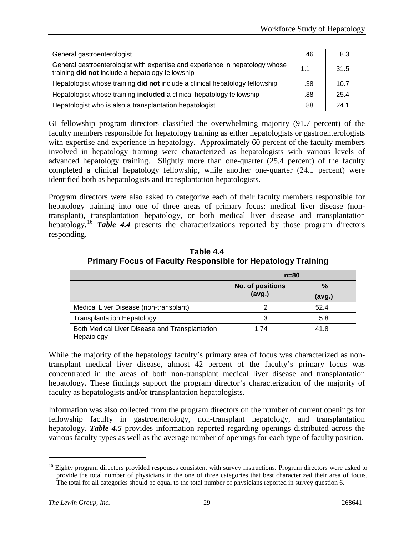| General gastroenterologist                                                                                                       | .46 | 8.3  |
|----------------------------------------------------------------------------------------------------------------------------------|-----|------|
| General gastroenterologist with expertise and experience in hepatology whose<br>training did not include a hepatology fellowship | 1.1 | 31.5 |
| Hepatologist whose training did not include a clinical hepatology fellowship                                                     | .38 | 10.7 |
| Hepatologist whose training <b>included</b> a clinical hepatology fellowship                                                     | .88 | 25.4 |
| Hepatologist who is also a transplantation hepatologist                                                                          | .88 | 24.1 |

GI fellowship program directors classified the overwhelming majority (91.7 percent) of the faculty members responsible for hepatology training as either hepatologists or gastroenterologists with expertise and experience in hepatology. Approximately 60 percent of the faculty members involved in hepatology training were characterized as hepatologists with various levels of advanced hepatology training. Slightly more than one-quarter (25.4 percent) of the faculty completed a clinical hepatology fellowship, while another one-quarter (24.1 percent) were identified both as hepatologists and transplantation hepatologists.

Program directors were also asked to categorize each of their faculty members responsible for hepatology training into one of three areas of primary focus: medical liver disease (nontransplant), transplantation hepatology, or both medical liver disease and transplantation hepatology.<sup>[16](#page-32-0)</sup> Table 4.4 presents the characterizations reported by those program directors responding.

|                                                              | $n=80$                            |             |  |
|--------------------------------------------------------------|-----------------------------------|-------------|--|
|                                                              | <b>No. of positions</b><br>(avg.) | %<br>(avg.) |  |
| Medical Liver Disease (non-transplant)                       |                                   | 52.4        |  |
| <b>Transplantation Hepatology</b>                            | .3                                | 5.8         |  |
| Both Medical Liver Disease and Transplantation<br>Hepatology | 1.74                              | 41.8        |  |

**Table 4.4 Primary Focus of Faculty Responsible for Hepatology Training**

While the majority of the hepatology faculty's primary area of focus was characterized as nontransplant medical liver disease, almost 42 percent of the faculty's primary focus was concentrated in the areas of both non-transplant medical liver disease and transplantation hepatology. These findings support the program director's characterization of the majority of faculty as hepatologists and/or transplantation hepatologists.

Information was also collected from the program directors on the number of current openings for fellowship faculty in gastroenterology, non-transplant hepatology, and transplantation hepatology. *Table 4.5* provides information reported regarding openings distributed across the various faculty types as well as the average number of openings for each type of faculty position.

<span id="page-32-0"></span><sup>&</sup>lt;sup>16</sup> Eighty program directors provided responses consistent with survey instructions. Program directors were asked to provide the total number of physicians in the one of three categories that best characterized their area of focus. The total for all categories should be equal to the total number of physicians reported in survey question 6.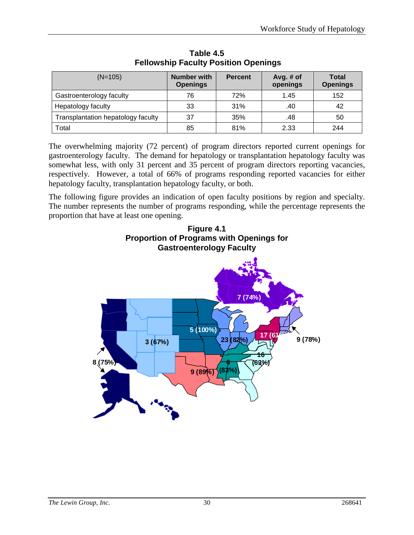| $(N=105)$                          | <b>Number with</b><br><b>Openings</b> | <b>Percent</b> | Avg. $#$ of<br>openings | <b>Total</b><br><b>Openings</b> |
|------------------------------------|---------------------------------------|----------------|-------------------------|---------------------------------|
| Gastroenterology faculty           | 76                                    | 72%            | 1.45                    | 152                             |
| Hepatology faculty                 | 33                                    | 31%            | .40                     | 42                              |
| Transplantation hepatology faculty | 37                                    | 35%            | .48                     | 50                              |
| Total                              | 85                                    | 81%            | 2.33                    | 244                             |

**Table 4.5 Fellowship Faculty Position Openings**

The overwhelming majority (72 percent) of program directors reported current openings for gastroenterology faculty. The demand for hepatology or transplantation hepatology faculty was somewhat less, with only 31 percent and 35 percent of program directors reporting vacancies, respectively. However, a total of 66% of programs responding reported vacancies for either hepatology faculty, transplantation hepatology faculty, or both.

The following figure provides an indication of open faculty positions by region and specialty. The number represents the number of programs responding, while the percentage represents the proportion that have at least one opening.



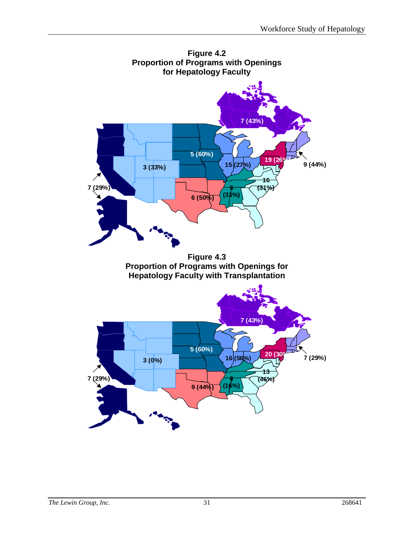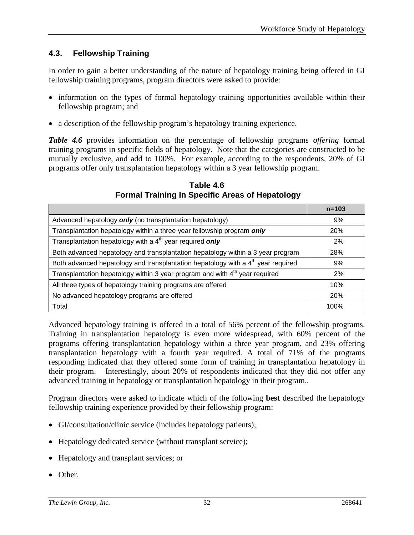# **4.3. Fellowship Training**

In order to gain a better understanding of the nature of hepatology training being offered in GI fellowship training programs, program directors were asked to provide:

- information on the types of formal hepatology training opportunities available within their fellowship program; and
- a description of the fellowship program's hepatology training experience.

*Table 4.6* provides information on the percentage of fellowship programs *offering* formal training programs in specific fields of hepatology. Note that the categories are constructed to be mutually exclusive, and add to 100%. For example, according to the respondents, 20% of GI programs offer only transplantation hepatology within a 3 year fellowship program.

|                                                                                              | $n = 103$ |
|----------------------------------------------------------------------------------------------|-----------|
| Advanced hepatology only (no transplantation hepatology)                                     | 9%        |
| Transplantation hepatology within a three year fellowship program only                       | 20%       |
| Transplantation hepatology with a 4 <sup>th</sup> year required <b>only</b>                  | 2%        |
| Both advanced hepatology and transplantation hepatology within a 3 year program              | 28%       |
| Both advanced hepatology and transplantation hepatology with a 4 <sup>th</sup> year required | 9%        |
| Transplantation hepatology within 3 year program and with 4 <sup>th</sup> year required      | 2%        |
| All three types of hepatology training programs are offered                                  | 10%       |
| No advanced hepatology programs are offered                                                  | 20%       |
| Total                                                                                        | 100%      |

**Table 4.6 Formal Training In Specific Areas of Hepatology**

Advanced hepatology training is offered in a total of 56% percent of the fellowship programs. Training in transplantation hepatology is even more widespread, with 60% percent of the programs offering transplantation hepatology within a three year program, and 23% offering transplantation hepatology with a fourth year required. A total of 71% of the programs responding indicated that they offered some form of training in transplantation hepatology in their program. Interestingly, about 20% of respondents indicated that they did not offer any advanced training in hepatology or transplantation hepatology in their program..

Program directors were asked to indicate which of the following **best** described the hepatology fellowship training experience provided by their fellowship program:

- GI/consultation/clinic service (includes hepatology patients);
- Hepatology dedicated service (without transplant service);
- Hepatology and transplant services; or
- Other.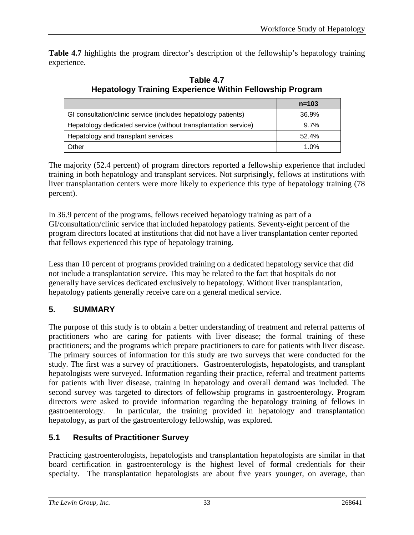**Table 4.7** highlights the program director's description of the fellowship's hepatology training experience.

|                                                                | $n = 103$ |
|----------------------------------------------------------------|-----------|
| GI consultation/clinic service (includes hepatology patients)  | 36.9%     |
| Hepatology dedicated service (without transplantation service) | 9.7%      |
| Hepatology and transplant services                             | 52.4%     |
| Other                                                          | 1.0%      |

**Table 4.7 Hepatology Training Experience Within Fellowship Program**

The majority (52.4 percent) of program directors reported a fellowship experience that included training in both hepatology and transplant services. Not surprisingly, fellows at institutions with liver transplantation centers were more likely to experience this type of hepatology training (78 percent).

In 36.9 percent of the programs, fellows received hepatology training as part of a GI/consultation/clinic service that included hepatology patients. Seventy-eight percent of the program directors located at institutions that did not have a liver transplantation center reported that fellows experienced this type of hepatology training.

Less than 10 percent of programs provided training on a dedicated hepatology service that did not include a transplantation service. This may be related to the fact that hospitals do not generally have services dedicated exclusively to hepatology. Without liver transplantation, hepatology patients generally receive care on a general medical service.

# **5. SUMMARY**

The purpose of this study is to obtain a better understanding of treatment and referral patterns of practitioners who are caring for patients with liver disease; the formal training of these practitioners; and the programs which prepare practitioners to care for patients with liver disease. The primary sources of information for this study are two surveys that were conducted for the study. The first was a survey of practitioners. Gastroenterologists, hepatologists, and transplant hepatologists were surveyed. Information regarding their practice, referral and treatment patterns for patients with liver disease, training in hepatology and overall demand was included. The second survey was targeted to directors of fellowship programs in gastroenterology. Program directors were asked to provide information regarding the hepatology training of fellows in gastroenterology. In particular, the training provided in hepatology and transplantation hepatology, as part of the gastroenterology fellowship, was explored.

# **5.1 Results of Practitioner Survey**

Practicing gastroenterologists, hepatologists and transplantation hepatologists are similar in that board certification in gastroenterology is the highest level of formal credentials for their specialty. The transplantation hepatologists are about five years younger, on average, than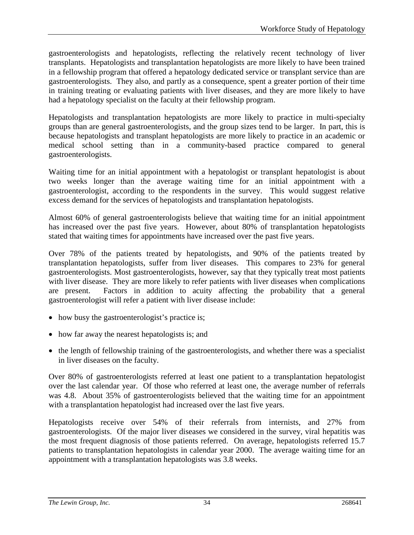gastroenterologists and hepatologists, reflecting the relatively recent technology of liver transplants. Hepatologists and transplantation hepatologists are more likely to have been trained in a fellowship program that offered a hepatology dedicated service or transplant service than are gastroenterologists. They also, and partly as a consequence, spent a greater portion of their time in training treating or evaluating patients with liver diseases, and they are more likely to have had a hepatology specialist on the faculty at their fellowship program.

Hepatologists and transplantation hepatologists are more likely to practice in multi-specialty groups than are general gastroenterologists, and the group sizes tend to be larger. In part, this is because hepatologists and transplant hepatologists are more likely to practice in an academic or medical school setting than in a community-based practice compared to general gastroenterologists.

Waiting time for an initial appointment with a hepatologist or transplant hepatologist is about two weeks longer than the average waiting time for an initial appointment with a gastroenterologist, according to the respondents in the survey. This would suggest relative excess demand for the services of hepatologists and transplantation hepatologists.

Almost 60% of general gastroenterologists believe that waiting time for an initial appointment has increased over the past five years. However, about 80% of transplantation hepatologists stated that waiting times for appointments have increased over the past five years.

Over 78% of the patients treated by hepatologists, and 90% of the patients treated by transplantation hepatologists, suffer from liver diseases. This compares to 23% for general gastroenterologists. Most gastroenterologists, however, say that they typically treat most patients with liver disease. They are more likely to refer patients with liver diseases when complications are present. Factors in addition to acuity affecting the probability that a general gastroenterologist will refer a patient with liver disease include:

- how busy the gastroenterologist's practice is;
- how far away the nearest hepatologists is; and
- the length of fellowship training of the gastroenterologists, and whether there was a specialist in liver diseases on the faculty.

Over 80% of gastroenterologists referred at least one patient to a transplantation hepatologist over the last calendar year. Of those who referred at least one, the average number of referrals was 4.8. About 35% of gastroenterologists believed that the waiting time for an appointment with a transplantation hepatologist had increased over the last five years.

Hepatologists receive over 54% of their referrals from internists, and 27% from gastroenterologists. Of the major liver diseases we considered in the survey, viral hepatitis was the most frequent diagnosis of those patients referred. On average, hepatologists referred 15.7 patients to transplantation hepatologists in calendar year 2000. The average waiting time for an appointment with a transplantation hepatologists was 3.8 weeks.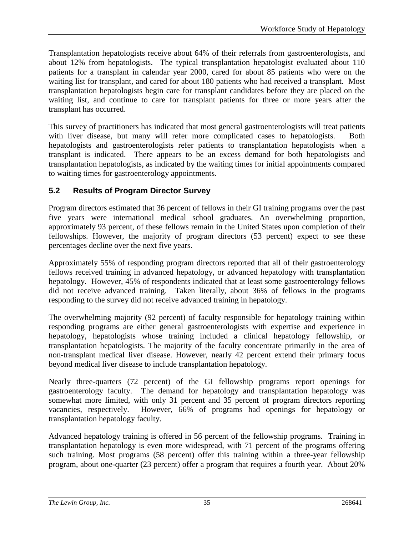Transplantation hepatologists receive about 64% of their referrals from gastroenterologists, and about 12% from hepatologists. The typical transplantation hepatologist evaluated about 110 patients for a transplant in calendar year 2000, cared for about 85 patients who were on the waiting list for transplant, and cared for about 180 patients who had received a transplant. Most transplantation hepatologists begin care for transplant candidates before they are placed on the waiting list, and continue to care for transplant patients for three or more years after the transplant has occurred.

This survey of practitioners has indicated that most general gastroenterologists will treat patients with liver disease, but many will refer more complicated cases to hepatologists. Both hepatologists and gastroenterologists refer patients to transplantation hepatologists when a transplant is indicated. There appears to be an excess demand for both hepatologists and transplantation hepatologists, as indicated by the waiting times for initial appointments compared to waiting times for gastroenterology appointments.

# **5.2 Results of Program Director Survey**

Program directors estimated that 36 percent of fellows in their GI training programs over the past five years were international medical school graduates. An overwhelming proportion, approximately 93 percent, of these fellows remain in the United States upon completion of their fellowships. However, the majority of program directors (53 percent) expect to see these percentages decline over the next five years.

Approximately 55% of responding program directors reported that all of their gastroenterology fellows received training in advanced hepatology, or advanced hepatology with transplantation hepatology. However, 45% of respondents indicated that at least some gastroenterology fellows did not receive advanced training. Taken literally, about 36% of fellows in the programs responding to the survey did not receive advanced training in hepatology.

The overwhelming majority (92 percent) of faculty responsible for hepatology training within responding programs are either general gastroenterologists with expertise and experience in hepatology, hepatologists whose training included a clinical hepatology fellowship, or transplantation hepatologists. The majority of the faculty concentrate primarily in the area of non-transplant medical liver disease. However, nearly 42 percent extend their primary focus beyond medical liver disease to include transplantation hepatology.

Nearly three-quarters (72 percent) of the GI fellowship programs report openings for gastroenterology faculty. The demand for hepatology and transplantation hepatology was somewhat more limited, with only 31 percent and 35 percent of program directors reporting vacancies, respectively. However, 66% of programs had openings for hepatology or transplantation hepatology faculty.

Advanced hepatology training is offered in 56 percent of the fellowship programs. Training in transplantation hepatology is even more widespread, with 71 percent of the programs offering such training. Most programs (58 percent) offer this training within a three-year fellowship program, about one-quarter (23 percent) offer a program that requires a fourth year. About 20%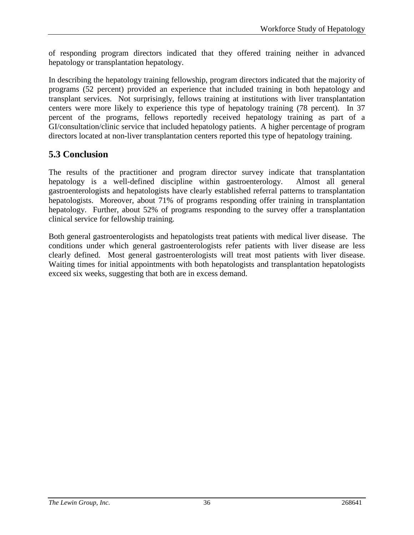of responding program directors indicated that they offered training neither in advanced hepatology or transplantation hepatology.

In describing the hepatology training fellowship, program directors indicated that the majority of programs (52 percent) provided an experience that included training in both hepatology and transplant services. Not surprisingly, fellows training at institutions with liver transplantation centers were more likely to experience this type of hepatology training (78 percent). In 37 percent of the programs, fellows reportedly received hepatology training as part of a GI/consultation/clinic service that included hepatology patients. A higher percentage of program directors located at non-liver transplantation centers reported this type of hepatology training.

# **5.3 Conclusion**

The results of the practitioner and program director survey indicate that transplantation hepatology is a well-defined discipline within gastroenterology. Almost all general gastroenterologists and hepatologists have clearly established referral patterns to transplantation hepatologists. Moreover, about 71% of programs responding offer training in transplantation hepatology. Further, about 52% of programs responding to the survey offer a transplantation clinical service for fellowship training.

Both general gastroenterologists and hepatologists treat patients with medical liver disease. The conditions under which general gastroenterologists refer patients with liver disease are less clearly defined. Most general gastroenterologists will treat most patients with liver disease. Waiting times for initial appointments with both hepatologists and transplantation hepatologists exceed six weeks, suggesting that both are in excess demand.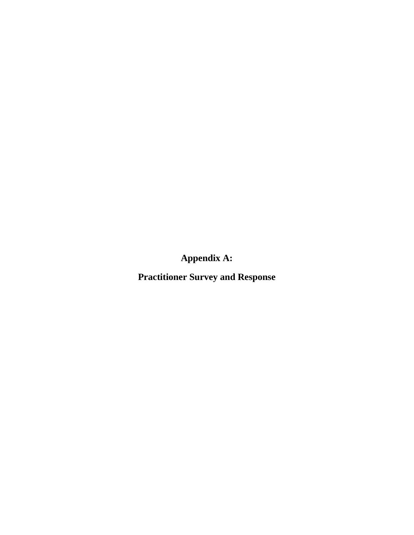**Appendix A:**

**Practitioner Survey and Response**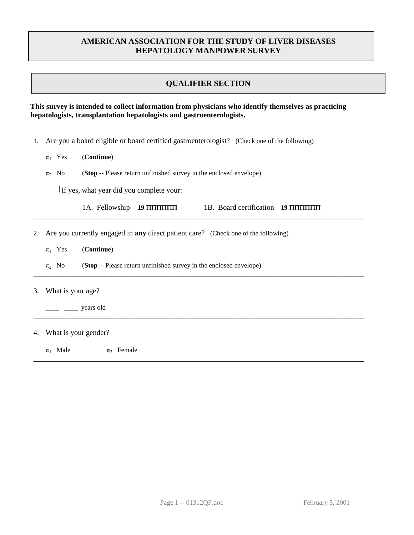# **AMERICAN ASSOCIATION FOR THE STUDY OF LIVER DISEASES HEPATOLOGY MANPOWER SURVEY**

# **QUALIFIER SECTION**

### **This survey is intended to collect information from physicians who identify themselves as practicing hepatologists, transplantation hepatologists and gastroenterologists.**

- 1. Are you a board eligible or board certified gastroenterologist? (Check one of the following)
	- $\pi_1$  Yes (**Continue**)
	- $\pi_2$  No (**Stop** -- Please return unfinished survey in the enclosed envelope)

If yes, what year did you complete your:

|  | 1A. Fellowship 19 HHHHHH |  | 1B. Board certification 19 <b>HIMMINI</b> |  |
|--|--------------------------|--|-------------------------------------------|--|
|--|--------------------------|--|-------------------------------------------|--|

**\_\_\_\_\_\_\_\_\_\_\_\_\_\_\_\_\_\_\_\_\_\_\_\_\_\_\_\_\_\_\_\_\_\_\_\_\_\_\_\_\_\_\_\_\_\_\_\_\_\_\_\_\_\_\_\_\_\_\_\_\_\_\_\_\_\_\_\_\_\_\_\_\_\_\_\_\_\_\_\_\_\_\_\_\_\_\_\_\_**

**\_\_\_\_\_\_\_\_\_\_\_\_\_\_\_\_\_\_\_\_\_\_\_\_\_\_\_\_\_\_\_\_\_\_\_\_\_\_\_\_\_\_\_\_\_\_\_\_\_\_\_\_\_\_\_\_\_\_\_\_\_\_\_\_\_\_\_\_\_\_\_\_\_\_\_\_\_\_\_\_\_\_\_\_\_\_\_\_\_**

- 2. Are you currently engaged in **any** direct patient care? (Check one of the following)
	- $\pi_1$  Yes (**Continue**)
	- $\pi_2$  No (**Stop** -- Please return unfinished survey in the enclosed envelope)
- 3. What is your age?
	- $\frac{1}{\sqrt{2}}$  years old
- 4. What is your gender?
	- $\pi_1$  Male  $\pi_2$  Female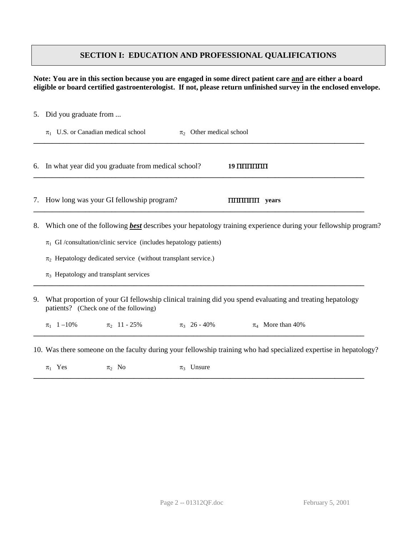# **SECTION I: EDUCATION AND PROFESSIONAL QUALIFICATIONS**

### **Note: You are in this section because you are engaged in some direct patient care and are either a board eligible or board certified gastroenterologist. If not, please return unfinished survey in the enclosed envelope.**

|    | 5. Did you graduate from                                                                                                                                                                                                                                                                                          |
|----|-------------------------------------------------------------------------------------------------------------------------------------------------------------------------------------------------------------------------------------------------------------------------------------------------------------------|
|    | $\pi_1$ U.S. or Canadian medical school<br>$\pi_2$ Other medical school                                                                                                                                                                                                                                           |
|    | 6. In what year did you graduate from medical school?<br>$19$ $\text{III}$ $\text{III}$ $\text{III}$                                                                                                                                                                                                              |
|    | 7. How long was your GI fellowship program?<br><b>THITHITHITI</b> years                                                                                                                                                                                                                                           |
| 8. | Which one of the following <b>best</b> describes your hepatology training experience during your fellowship program?<br>$\pi_1$ GI/consultation/clinic service (includes hepatology patients)<br>$\pi_2$ Hepatology dedicated service (without transplant service.)<br>$\pi_3$ Hepatology and transplant services |
| 9. | What proportion of your GI fellowship clinical training did you spend evaluating and treating hepatology<br>patients? (Check one of the following)<br>$\pi_1$ 1 -10% $\pi_2$ 11 - 25%<br>$\pi_3$ 26 - 40%<br>$\pi_4$ More than 40%                                                                                |
|    | 10. Was there someone on the faculty during your fellowship training who had specialized expertise in hepatology?                                                                                                                                                                                                 |

 $\pi_1$  Yes  $\pi_2$  No  $\pi_3$  Unsure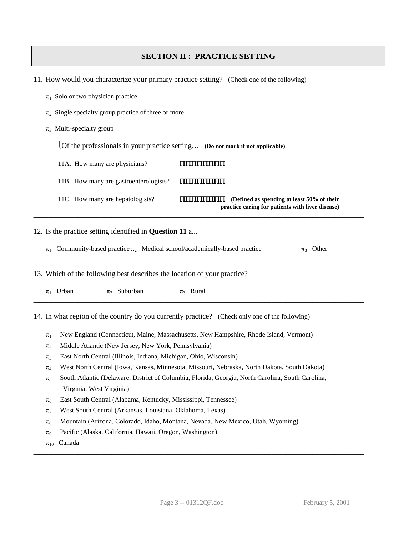# **SECTION II : PRACTICE SETTING**

- 11. How would you characterize your primary practice setting? (Check one of the following)
	- $\pi_1$  Solo or two physician practice
	- $\pi_2$  Single specialty group practice of three or more
	- $\pi_3$  Multi-specialty group

Of the professionals in your practice setting… **(Do not mark if not applicable)**

- 11A. How many are physicians? ΠΠΠΠΠΠΠΠΠ
- 11B. How many are gastroenterologists? ΠΠΠΠΠΠΠΠΠ
- 11C. How many are hepatologists? ΠΠΠΠΠΠΠΠ **(Defined as spending at least 50% of their practice caring for patients with liver disease) \_\_\_\_\_\_\_\_\_\_\_\_\_\_\_\_\_\_\_\_\_\_\_\_\_\_\_\_\_\_\_\_\_\_\_\_\_\_\_\_\_\_\_\_\_\_\_\_\_\_\_\_\_\_\_\_\_\_\_\_\_\_\_\_\_\_\_\_\_\_\_\_\_\_\_\_\_\_\_\_\_\_\_\_\_\_\_\_\_**

12. Is the practice setting identified in **Question 11** a...

 $\pi_1$  Community-based practice  $\pi_2$  Medical school/academically-based practice  $\pi_3$  Other **\_\_\_\_\_\_\_\_\_\_\_\_\_\_\_\_\_\_\_\_\_\_\_\_\_\_\_\_\_\_\_\_\_\_\_\_\_\_\_\_\_\_\_\_\_\_\_\_\_\_\_\_\_\_\_\_\_\_\_\_\_\_\_\_\_\_\_\_\_\_\_\_\_\_\_\_\_\_\_\_\_\_\_\_\_\_\_\_\_**

**\_\_\_\_\_\_\_\_\_\_\_\_\_\_\_\_\_\_\_\_\_\_\_\_\_\_\_\_\_\_\_\_\_\_\_\_\_\_\_\_\_\_\_\_\_\_\_\_\_\_\_\_\_\_\_\_\_\_\_\_\_\_\_\_\_\_\_\_\_\_\_\_\_\_\_\_\_\_\_\_\_\_\_\_\_\_\_\_\_**

13. Which of the following best describes the location of your practice?

 $\pi_1$  Urban  $\pi_2$  Suburban  $\pi_3$  Rural

14. In what region of the country do you currently practice? (Check only one of the following)

- $\pi_1$  New England (Connecticut, Maine, Massachusetts, New Hampshire, Rhode Island, Vermont)
- $\pi_2$  Middle Atlantic (New Jersey, New York, Pennsylvania)
- $\pi_3$  East North Central (Illinois, Indiana, Michigan, Ohio, Wisconsin)
- $\pi_4$  West North Central (Iowa, Kansas, Minnesota, Missouri, Nebraska, North Dakota, South Dakota)
- $\pi_5$  South Atlantic (Delaware, District of Columbia, Florida, Georgia, North Carolina, South Carolina, Virginia, West Virginia)
- $\pi_6$  East South Central (Alabama, Kentucky, Mississippi, Tennessee)
- $\pi$ <sub>7</sub> West South Central (Arkansas, Louisiana, Oklahoma, Texas)
- $\pi_8$  Mountain (Arizona, Colorado, Idaho, Montana, Nevada, New Mexico, Utah, Wyoming)
- $\pi$ <sub>9</sub> Pacific (Alaska, California, Hawaii, Oregon, Washington)
- $\pi_{10}$  Canada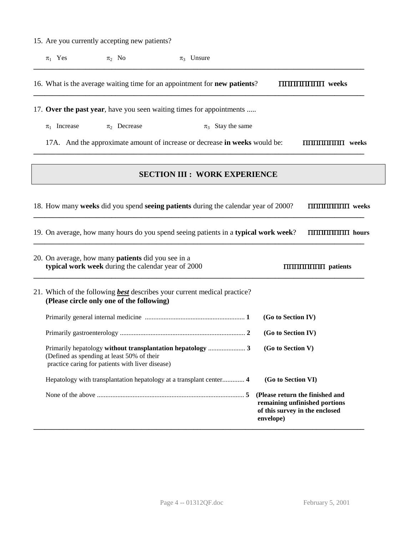15. Are you currently accepting new patients?

 $\pi_1$  Yes  $\pi_2$  No  $\pi_3$  Unsure **\_\_\_\_\_\_\_\_\_\_\_\_\_\_\_\_\_\_\_\_\_\_\_\_\_\_\_\_\_\_\_\_\_\_\_\_\_\_\_\_\_\_\_\_\_\_\_\_\_\_\_\_\_\_\_\_\_\_\_\_\_\_\_\_\_\_\_\_\_\_\_\_\_\_\_\_\_\_\_\_\_\_\_\_\_\_\_\_\_** 16. What is the average waiting time for an appointment for **new patients**? ΠΠΠΠΠΠΠΠ **weeks \_\_\_\_\_\_\_\_\_\_\_\_\_\_\_\_\_\_\_\_\_\_\_\_\_\_\_\_\_\_\_\_\_\_\_\_\_\_\_\_\_\_\_\_\_\_\_\_\_\_\_\_\_\_\_\_\_\_\_\_\_\_\_\_\_\_\_\_\_\_\_\_\_\_\_\_\_\_\_\_\_\_\_\_\_\_\_\_\_** 17. **Over the past year**, have you seen waiting times for appointments .....  $\pi_1$  Increase  $\pi_2$  Decrease  $\pi_3$  Stay the same 17A. And the approximate amount of increase or decrease **in weeks** would be: ΠΠΠΠΠΠΠΠ **weeks \_\_\_\_\_\_\_\_\_\_\_\_\_\_\_\_\_\_\_\_\_\_\_\_\_\_\_\_\_\_\_\_\_\_\_\_\_\_\_\_\_\_\_\_\_\_\_\_\_\_\_\_\_\_\_\_\_\_\_\_\_\_\_\_\_\_\_\_\_\_\_\_\_\_\_\_\_\_\_\_\_\_\_\_\_\_\_\_\_ SECTION III : WORK EXPERIENCE** 18. How many **weeks** did you spend **seeing patients** during the calendar year of 2000? ΠΠΠΠΠΠΠΠ **weeks \_\_\_\_\_\_\_\_\_\_\_\_\_\_\_\_\_\_\_\_\_\_\_\_\_\_\_\_\_\_\_\_\_\_\_\_\_\_\_\_\_\_\_\_\_\_\_\_\_\_\_\_\_\_\_\_\_\_\_\_\_\_\_\_\_\_\_\_\_\_\_\_\_\_\_\_\_\_\_\_\_\_\_\_\_\_\_\_\_** 19. On average, how many hours do you spend seeing patients in a **typical work week**? ΠΠΠΠΠΠΠΠ **hours \_\_\_\_\_\_\_\_\_\_\_\_\_\_\_\_\_\_\_\_\_\_\_\_\_\_\_\_\_\_\_\_\_\_\_\_\_\_\_\_\_\_\_\_\_\_\_\_\_\_\_\_\_\_\_\_\_\_\_\_\_\_\_\_\_\_\_\_\_\_\_\_\_\_\_\_\_\_\_\_\_\_\_\_\_\_\_\_\_** 20. On average, how many **patients** did you see in a **typical work week** during the calendar year of 2000 ΠΠΠΠΠΠΠΠ **patients \_\_\_\_\_\_\_\_\_\_\_\_\_\_\_\_\_\_\_\_\_\_\_\_\_\_\_\_\_\_\_\_\_\_\_\_\_\_\_\_\_\_\_\_\_\_\_\_\_\_\_\_\_\_\_\_\_\_\_\_\_\_\_\_\_\_\_\_\_\_\_\_\_\_\_\_\_\_\_\_\_\_\_\_\_\_\_\_\_** 21. Which of the following *best* describes your current medical practice? **(Please circle only one of the following)** Primarily general internal medicine ........................................................... **1 (Go to Section IV)**  Primarily gastroenterology .......................................................................... **2 (Go to Section IV)** Primarily hepatology **without transplantation hepatology** ...................... **3 (Go to Section V)** (Defined as spending at least 50% of their practice caring for patients with liver disease) Hepatology with transplantation hepatology at a transplant center............. **4 (Go to Section VI)** None of the above ....................................................................................... **5 (Please return the finished and remaining unfinished portions of this survey in the enclosed envelope) \_\_\_\_\_\_\_\_\_\_\_\_\_\_\_\_\_\_\_\_\_\_\_\_\_\_\_\_\_\_\_\_\_\_\_\_\_\_\_\_\_\_\_\_\_\_\_\_\_\_\_\_\_\_\_\_\_\_\_\_\_\_\_\_\_\_\_\_\_\_\_\_\_\_\_\_\_\_\_\_\_\_\_\_\_\_\_\_\_**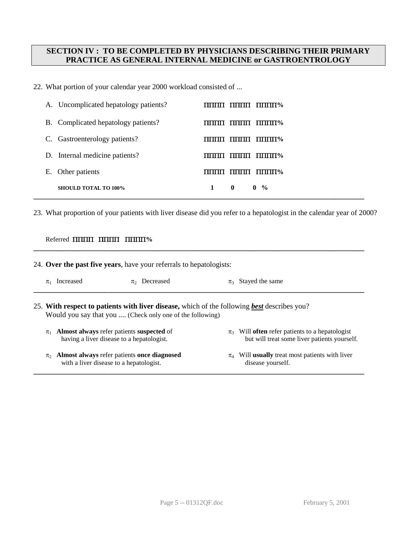## **SECTION IV : TO BE COMPLETED BY PHYSICIANS DESCRIBING THEIR PRIMARY PRACTICE AS GENERAL INTERNAL MEDICINE or GASTROENTROLOGY**

22. What portion of your calendar year 2000 workload consisted of ...

| A. Uncomplicated hepatology patients? | $\Pi\Pi\Pi\Pi\%$<br>- 11111111<br>,,,,,,,, |
|---------------------------------------|--------------------------------------------|
| B. Complicated hepatology patients?   | $\pi$<br>,,,,,,,,                          |
| Gastroenterology patients?<br>C.      | $\pi$<br>,,,,,,,,                          |
| Internal medicine patients?<br>D.     | $\text{mmm\%}$<br>пппп<br>,,,,,,,,         |
| Other patients<br>Е.                  | $\Pi\Pi\Pi\Pi\%$<br>пппп                   |
| <b>SHOULD TOTAL TO 100%</b>           | 1<br>$0 \frac{9}{6}$<br>$\mathbf{0}$       |

23. What proportion of your patients with liver disease did you refer to a hepatologist in the calendar year of 2000?

### Referred ΠΠΠΠΠΠΠΠΠΠΠΠ**%**

| 24. Over the past five years, have your referrals to hepatologists: |                                                                                                                                                                 |                   |                    |                                                                                                            |
|---------------------------------------------------------------------|-----------------------------------------------------------------------------------------------------------------------------------------------------------------|-------------------|--------------------|------------------------------------------------------------------------------------------------------------|
| $\pi_1$                                                             | Increased                                                                                                                                                       | $\pi$ , Decreased | $\pi$ <sub>3</sub> | Stayed the same                                                                                            |
|                                                                     | 25. With respect to patients with liver disease, which of the following <b>best</b> describes you?<br>Would you say that you  (Check only one of the following) |                   |                    |                                                                                                            |
| $\pi_1$                                                             | Almost always refer patients suspected of<br>having a liver disease to a hepatologist.                                                                          |                   |                    | $\pi_3$ Will <b>often</b> refer patients to a hepatologist<br>but will treat some liver patients yourself. |
| $\pi$                                                               | Almost always refer patients once diagnosed<br>with a liver disease to a hepatologist.                                                                          |                   |                    | $\pi_4$ Will <b>usually</b> treat most patients with liver<br>disease yourself.                            |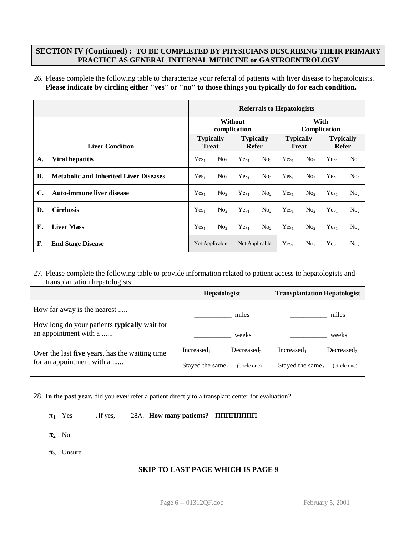### **SECTION IV (Continued) : TO BE COMPLETED BY PHYSICIANS DESCRIBING THEIR PRIMARY PRACTICE AS GENERAL INTERNAL MEDICINE or GASTROENTROLOGY**

26. Please complete the following table to characterize your referral of patients with liver disease to hepatologists. **Please indicate by circling either "yes" or "no" to those things you typically do for each condition.**

|           |                                               | <b>Referrals to Hepatologists</b>                                    |                                                 |                                  |                 |                           |                 |                  |                 |
|-----------|-----------------------------------------------|----------------------------------------------------------------------|-------------------------------------------------|----------------------------------|-----------------|---------------------------|-----------------|------------------|-----------------|
|           |                                               |                                                                      | With<br>Without<br>complication<br>Complication |                                  |                 |                           |                 |                  |                 |
|           | <b>Liver Condition</b>                        | <b>Typically</b><br><b>Typically</b><br><b>Treat</b><br><b>Refer</b> |                                                 | <b>Typically</b><br><b>Treat</b> |                 | <b>Typically</b><br>Refer |                 |                  |                 |
| A.        | <b>Viral hepatitis</b>                        | Yes <sub>1</sub>                                                     | No <sub>2</sub>                                 | Yes <sub>1</sub>                 | No <sub>2</sub> | Yes <sub>1</sub>          | No <sub>2</sub> | Yes <sub>1</sub> | No <sub>2</sub> |
| <b>B.</b> | <b>Metabolic and Inherited Liver Diseases</b> | Yes <sub>1</sub>                                                     | No <sub>2</sub>                                 | Yes <sub>1</sub>                 | No <sub>2</sub> | Yes <sub>1</sub>          | No <sub>2</sub> | Yes <sub>1</sub> | No <sub>2</sub> |
| C.        | <b>Auto-immune liver disease</b>              | Yes <sub>1</sub>                                                     | No <sub>2</sub>                                 | Yes <sub>1</sub>                 | No <sub>2</sub> | Yes <sub>1</sub>          | No <sub>2</sub> | Yes <sub>1</sub> | No <sub>2</sub> |
| D.        | <b>Cirrhosis</b>                              | Yes <sub>1</sub>                                                     | No <sub>2</sub>                                 | Yes <sub>1</sub>                 | No <sub>2</sub> | Yes <sub>1</sub>          | No <sub>2</sub> | Yes <sub>1</sub> | No <sub>2</sub> |
| Е.        | <b>Liver Mass</b>                             | Yes <sub>1</sub>                                                     | No <sub>2</sub>                                 | Yes <sub>1</sub>                 | No <sub>2</sub> | Yes <sub>1</sub>          | No <sub>2</sub> | Yes <sub>1</sub> | No <sub>2</sub> |
| F.        | <b>End Stage Disease</b>                      | Not Applicable                                                       |                                                 | Not Applicable                   |                 | Yes <sub>1</sub>          | No <sub>2</sub> | Yes <sub>1</sub> | No <sub>2</sub> |

27. Please complete the following table to provide information related to patient access to hepatologists and transplantation hepatologists.

|                                                                       | <b>Hepatologist</b>                          | <b>Transplantation Hepatologist</b>          |
|-----------------------------------------------------------------------|----------------------------------------------|----------------------------------------------|
| How far away is the nearest                                           | miles                                        | miles                                        |
| How long do your patients typically wait for<br>an appointment with a | weeks                                        | weeks                                        |
| Over the last five years, has the waiting time                        | Increase <sub>1</sub><br>Decreased,          | Decreased,<br>Increased,                     |
| for an appointment with a                                             | Stayed the same <sub>3</sub><br>(circle one) | Stayed the same <sub>3</sub><br>(circle one) |

28. **In the past year,** did you **ever** refer a patient directly to a transplant center for evaluation?

 $\pi_1$  Yes If yes, 28A. **How many patients? ΠΠΠΠΠΠΠ** 

 $\pi_2$  No

 $\pi_3$  Unsure

### **SKIP TO LAST PAGE WHICH IS PAGE 9**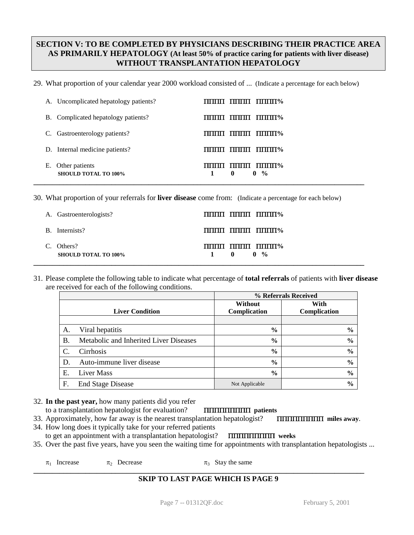# **SECTION V: TO BE COMPLETED BY PHYSICIANS DESCRIBING THEIR PRACTICE AREA AS PRIMARILY HEPATOLOGY (At least 50% of practice caring for patients with liver disease) WITHOUT TRANSPLANTATION HEPATOLOGY**

29. What proportion of your calendar year 2000 workload consisted of ... (Indicate a percentage for each below)

|    | A. Uncomplicated hepatology patients?         | пши ппш пште                                                            |
|----|-----------------------------------------------|-------------------------------------------------------------------------|
|    | B. Complicated hepatology patients?           | $\pi$<br>пппп                                                           |
|    | C. Gastroenterology patients?                 | $\blacksquare$<br>пппп                                                  |
|    | D. Internal medicine patients?                | MINI TINNI TINNIMA                                                      |
| Е. | Other patients<br><b>SHOULD TOTAL TO 100%</b> | $\Pi\Pi\Pi\Pi\%$<br>пппп<br>,,,,,,,,<br>$\mathbf{0}$<br>$0 \frac{9}{6}$ |

30. What proportion of your referrals for **liver disease** come from: (Indicate a percentage for each below)

| A. Gastroenterologists?                                 | $\overline{\text{min}}$ $\overline{\text{min}}$ $\overline{\text{min}}$ $\frac{\text{min}}{2}$                    |
|---------------------------------------------------------|-------------------------------------------------------------------------------------------------------------------|
| B. Internists?                                          | $\overline{\text{min}}$ $\overline{\text{min}}$ $\overline{\text{min}}$                                           |
| Others?<br>$\mathcal{C}$<br><b>SHOULD TOTAL TO 100%</b> | $\overline{\text{min}}$ $\overline{\text{min}}$ $\overline{\text{min}}$<br>$\mathbf{0}$ $\mathbf{0}$ $\mathbf{0}$ |

31. Please complete the following table to indicate what percentage of **total referrals** of patients with **liver disease** are received for each of the following conditions.

|    |                                        | % Referrals Received |               |  |
|----|----------------------------------------|----------------------|---------------|--|
|    |                                        | <b>Without</b>       | With          |  |
|    | <b>Liver Condition</b>                 | Complication         | Complication  |  |
|    |                                        |                      |               |  |
| А. | Viral hepatitis                        | $\frac{0}{0}$        | $\frac{6}{9}$ |  |
| Β. | Metabolic and Inherited Liver Diseases | $\frac{0}{0}$        | $\frac{0}{0}$ |  |
| C. | Cirrhosis                              | $\frac{6}{6}$        | $\frac{0}{0}$ |  |
| D. | Auto-immune liver disease              | $\frac{0}{0}$        | $\frac{0}{0}$ |  |
| E. | Liver Mass                             | $\frac{0}{0}$        | $\frac{6}{6}$ |  |
| F. | <b>End Stage Disease</b>               | Not Applicable       | $\frac{6}{9}$ |  |

32. **In the past year,** how many patients did you refer

### to a transplantation hepatologist for evaluation? ΠΠΠΠΠΠΠΠΠ **patients**

- 33. Approximately, how far away is the nearest transplantation hepatologist? ΠΠΠΠΠΠΠΠΠ **miles away**. 34. How long does it typically take for your referred patients
- to get an appointment with a transplantation hepatologist? ΠΠΠΠΠΠΠΠΠ **weeks**

35. Over the past five years, have you seen the waiting time for appointments with transplantation hepatologists ...

 $\pi_1$  Increase  $\pi_2$  Decrease  $\pi_3$  Stay the same

### **SKIP TO LAST PAGE WHICH IS PAGE 9**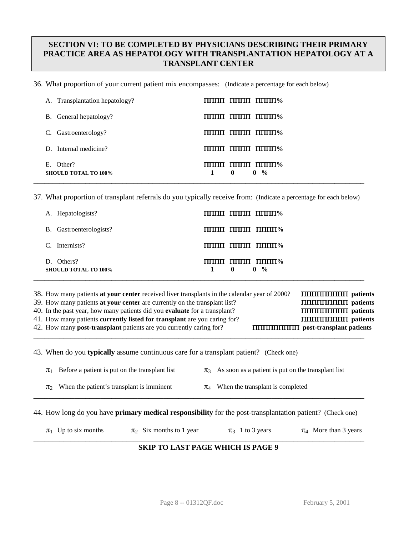# **SECTION VI: TO BE COMPLETED BY PHYSICIANS DESCRIBING THEIR PRIMARY PRACTICE AREA AS HEPATOLOGY WITH TRANSPLANTATION HEPATOLOGY AT A TRANSPLANT CENTER**

36. What proportion of your current patient mix encompasses: (Indicate a percentage for each below)

| A. Transplantation hepatology?           | $\text{min}_{\mathbf{u}}$ $\text{min}_{\mathbf{u}}$ $\text{min}_{\mathbf{u}}$ |
|------------------------------------------|-------------------------------------------------------------------------------|
| B. General hepatology?                   | пши пппп пппн%                                                                |
| C. Gastroenterology?                     | $\pi$                                                                         |
| D. Internal medicine?                    | MONTH TIME DIMINI%                                                            |
| E. Other?<br><b>SHOULD TOTAL TO 100%</b> | $\Pi\Pi\Pi\Pi$ $\Pi\Pi\Pi\Pi\Pi\Psi$<br>$0 \frac{9}{6}$<br>$\mathbf{0}$       |

37. What proportion of transplant referrals do you typically receive from: (Indicate a percentage for each below)

| A. Hepatologists?                         | пппп пппп пппп%                          |
|-------------------------------------------|------------------------------------------|
| B. Gastroenterologists?                   | $\pi$                                    |
| Internists?<br>C.                         | $\pi$                                    |
| D. Others?<br><b>SHOULD TOTAL TO 100%</b> | $\pi$<br>$0 \frac{9}{6}$<br>$\mathbf{0}$ |

| 38. How many patients at your center received liver transplants in the calendar year of 2000? |                                            |
|-----------------------------------------------------------------------------------------------|--------------------------------------------|
| 39. How many patients at your center are currently on the transplant list?                    |                                            |
| 40. In the past year, how many patients did you <b>evaluate</b> for a transplant?             |                                            |
| 41. How many patients currently listed for transplant are you caring for?                     | <b>TITITITITITITITITITI</b> patients       |
| 42. How many <b>post-transplant</b> patients are you currently caring for?                    | <b>THEFFICITE POST-transplant patients</b> |

**\_\_\_\_\_\_\_\_\_\_\_\_\_\_\_\_\_\_\_\_\_\_\_\_\_\_\_\_\_\_\_\_\_\_\_\_\_\_\_\_\_\_\_\_\_\_\_\_\_\_\_\_\_\_\_\_\_\_\_\_\_\_\_\_\_\_\_\_\_\_\_\_\_\_\_\_\_\_\_\_\_\_\_\_\_\_\_\_\_**

43. When do you **typically** assume continuous care for a transplant patient? (Check one)

|       | $\pi_1$ Before a patient is put on the transplant list | $\pi_3$ As soon as a patient is put on the transplant list |
|-------|--------------------------------------------------------|------------------------------------------------------------|
| $\pi$ | When the patient's transplant is imminent              | $\pi_4$ When the transplant is completed                   |

44. How long do you have **primary medical responsibility** for the post-transplantation patient? (Check one)

**\_\_\_\_\_\_\_\_\_\_\_\_\_\_\_\_\_\_\_\_\_\_\_\_\_\_\_\_\_\_\_\_\_\_\_\_\_\_\_\_\_\_\_\_\_\_\_\_\_\_\_\_\_\_\_\_\_\_\_\_\_\_\_\_\_\_\_\_\_\_\_\_\_\_\_\_\_\_\_\_\_\_\_\_\_\_\_\_\_**

|  | $\pi_1$ Up to six months | $\pi_2$ Six months to 1 year | $\pi_3$ 1 to 3 years | $\pi_4$ More than 3 years |
|--|--------------------------|------------------------------|----------------------|---------------------------|
|--|--------------------------|------------------------------|----------------------|---------------------------|

### **\_\_\_\_\_\_\_\_\_\_\_\_\_\_\_\_\_\_\_\_\_\_\_\_\_\_\_\_\_\_\_\_\_\_\_\_\_\_\_\_\_\_\_\_\_\_\_\_\_\_\_\_\_\_\_\_\_\_\_\_\_\_\_\_\_\_\_\_\_\_\_\_\_\_\_\_\_\_\_\_\_\_\_\_\_\_\_\_\_ SKIP TO LAST PAGE WHICH IS PAGE 9**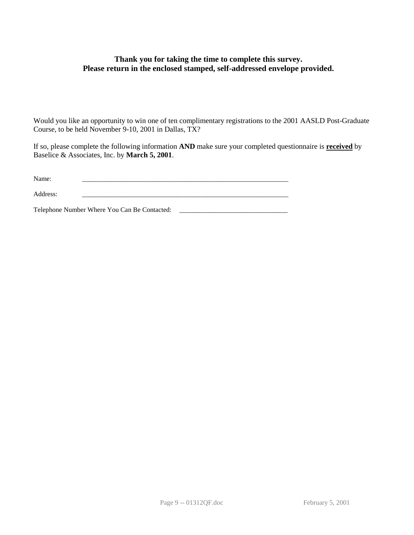## **Thank you for taking the time to complete this survey. Please return in the enclosed stamped, self-addressed envelope provided.**

Would you like an opportunity to win one of ten complimentary registrations to the 2001 AASLD Post-Graduate Course, to be held November 9-10, 2001 in Dallas, TX?

If so, please complete the following information **AND** make sure your completed questionnaire is **received** by Baselice & Associates, Inc. by **March 5, 2001**.

| Name:    |  |
|----------|--|
|          |  |
| Address: |  |

Telephone Number Where You Can Be Contacted: \_\_\_\_\_\_\_\_\_\_\_\_\_\_\_\_\_\_\_\_\_\_\_\_\_\_\_\_\_\_\_\_\_\_\_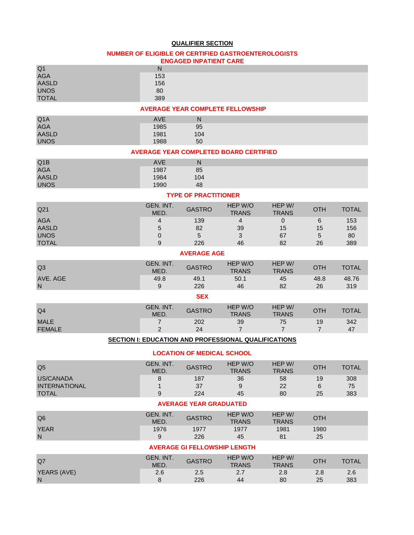### **QUALIFIER SECTION**

#### **NUMBER OF ELIGIBLE OR CERTIFIED GASTROENTEROLOGISTS ENGAGED INPATIENT CARE**

| Q <sub>1</sub><br><b>AGA</b><br><b>AASLD</b><br><b>UNOS</b><br><b>TOTAL</b> | ${\sf N}$<br>153<br>156<br>80<br>389 |                                     |                                                      |                               |                      |                         |  |  |
|-----------------------------------------------------------------------------|--------------------------------------|-------------------------------------|------------------------------------------------------|-------------------------------|----------------------|-------------------------|--|--|
| <b>AVERAGE YEAR COMPLETE FELLOWSHIP</b>                                     |                                      |                                     |                                                      |                               |                      |                         |  |  |
| Q <sub>1</sub> A<br><b>AGA</b><br><b>AASLD</b><br><b>UNOS</b>               | <b>AVE</b><br>1985<br>1981<br>1988   | N<br>95<br>104<br>50                |                                                      |                               |                      |                         |  |  |
|                                                                             |                                      |                                     | <b>AVERAGE YEAR COMPLETED BOARD CERTIFIED</b>        |                               |                      |                         |  |  |
| Q1B<br><b>AGA</b><br><b>AASLD</b><br><b>UNOS</b>                            | <b>AVE</b><br>1987<br>1984<br>1990   | ${\sf N}$<br>85<br>104<br>48        |                                                      |                               |                      |                         |  |  |
|                                                                             |                                      | <b>TYPE OF PRACTITIONER</b>         |                                                      |                               |                      |                         |  |  |
| Q <sub>21</sub>                                                             | GEN. INT.<br>MED.                    | <b>GASTRO</b>                       | HEP W/O<br><b>TRANS</b>                              | HEP W/<br><b>TRANS</b>        | <b>OTH</b>           | <b>TOTAL</b>            |  |  |
| <b>AGA</b><br><b>AASLD</b><br><b>UNOS</b><br><b>TOTAL</b>                   | 4<br>5<br>0<br>9                     | 139<br>82<br>5<br>226               | $\overline{4}$<br>39<br>3<br>46                      | $\mathbf 0$<br>15<br>67<br>82 | 6<br>15<br>5<br>26   | 153<br>156<br>80<br>389 |  |  |
|                                                                             |                                      | <b>AVERAGE AGE</b>                  |                                                      |                               |                      |                         |  |  |
| Q <sub>3</sub>                                                              | GEN. INT.<br>MED.                    | <b>GASTRO</b>                       | HEP W/O<br><b>TRANS</b>                              | HEP W/<br><b>TRANS</b>        | <b>OTH</b>           | <b>TOTAL</b>            |  |  |
| AVE. AGE<br>N                                                               | 49.8<br>9                            | 49.1<br>226                         | 50.1<br>46                                           | 45<br>82                      | 48.8<br>26           | 48.76<br>319            |  |  |
|                                                                             |                                      | <b>SEX</b>                          |                                                      |                               |                      |                         |  |  |
| Q <sub>4</sub>                                                              | GEN. INT.<br>MED.                    | <b>GASTRO</b>                       | HEP W/O<br><b>TRANS</b>                              | HEP W/<br><b>TRANS</b>        | <b>OTH</b>           | <b>TOTAL</b>            |  |  |
| <b>MALE</b><br><b>FEMALE</b>                                                | $\overline{7}$<br>$\overline{2}$     | 202<br>24                           | 39<br>$\overline{7}$                                 | 75<br>$\overline{7}$          | 19<br>$\overline{7}$ | 342<br>47               |  |  |
|                                                                             |                                      |                                     | SECTION I: EDUCATION AND PROFESSIONAL QUALIFICATIONS |                               |                      |                         |  |  |
|                                                                             |                                      | <b>LOCATION OF MEDICAL SCHOOL</b>   |                                                      |                               |                      |                         |  |  |
| Q <sub>5</sub>                                                              | GEN. INT.<br>MED.                    | <b>GASTRO</b>                       | HEP W/O<br><b>TRANS</b>                              | HEP W/<br><b>TRANS</b>        | <b>OTH</b>           | <b>TOTAL</b>            |  |  |
| US/CANADA<br><b>INTERNATIONAL</b><br><b>TOTAL</b>                           | 8<br>1<br>9                          | 187<br>37<br>224                    | 36<br>9<br>45                                        | 58<br>22<br>80                | 19<br>6<br>25        | 308<br>75<br>383        |  |  |
| <b>AVERAGE YEAR GRADUATED</b>                                               |                                      |                                     |                                                      |                               |                      |                         |  |  |
| Q <sub>6</sub>                                                              | GEN. INT.<br>MED.                    | <b>GASTRO</b>                       | HEP W/O<br><b>TRANS</b>                              | HEP W/<br><b>TRANS</b>        | <b>OTH</b>           |                         |  |  |
| <b>YEAR</b><br>$\mathsf{N}$                                                 | 1976<br>9                            | 1977<br>226                         | 1977<br>45                                           | 1981<br>81                    | 1980<br>25           |                         |  |  |
|                                                                             |                                      | <b>AVERAGE GI FELLOWSHIP LENGTH</b> |                                                      |                               |                      |                         |  |  |
| Q7                                                                          | GEN. INT.<br>MED.                    | <b>GASTRO</b>                       | HEP W/O<br><b>TRANS</b>                              | HEP W/<br><b>TRANS</b>        | <b>OTH</b>           | <b>TOTAL</b>            |  |  |
| YEARS (AVE)<br>N                                                            | 2.6<br>8                             | 2.5<br>226                          | 2.7<br>44                                            | 2.8<br>80                     | 2.8<br>25            | 2.6<br>383              |  |  |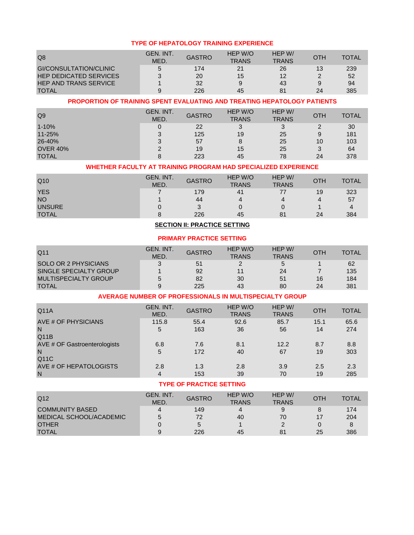#### **TYPE OF HEPATOLOGY TRAINING EXPERIENCE**

| Q8                            | GEN. INT.<br><b>MED</b> | <b>GASTRO</b> | HEP W/O<br><b>TRANS</b> | HEP W/<br><b>TRANS</b> | OTH | <b>TOTAL</b> |
|-------------------------------|-------------------------|---------------|-------------------------|------------------------|-----|--------------|
| GI/CONSULTATION/CLINIC        | 5                       | 174           | 21                      | 26                     | 13  | 239          |
| <b>HEP DEDICATED SERVICES</b> |                         | 20            | 15                      | 12                     |     | 52           |
| <b>HEP AND TRANS SERVICE</b>  |                         | 32            |                         | 43                     | 9   | 94           |
| <b>TOTAL</b>                  | a                       | 226           | 45                      | 81                     | 24  | 385          |

### **PROPORTION OF TRAINING SPENT EVALUATING AND TREATING HEPATOLOGY PATIENTS**

| Q <sub>9</sub>  | GEN. INT.<br>MED. | <b>GASTRO</b> | HEP W/O<br><b>TRANS</b> | HEP W/<br><b>TRANS</b> | OTH | <b>TOTAL</b> |
|-----------------|-------------------|---------------|-------------------------|------------------------|-----|--------------|
| $1 - 10%$       |                   | 22            |                         | 3                      |     | 30           |
| 11-25%          | ว                 | 125           | 19                      | 25                     | 9   | 181          |
| 26-40%          | $\mathbf{r}$      | 57            |                         | 25                     | 10  | 103          |
| <b>OVER 40%</b> |                   | 19            | 15                      | 25                     | 3   | 64           |
| <b>TOTAL</b>    |                   | 223           | 45                      | 78                     | 24  | 378          |

### **WHETHER FACULTY AT TRAINING PROGRAM HAD SPECIALIZED EXPERIENCE**

| Q <sub>10</sub> | GEN. INT.<br>MED. | <b>GASTRO</b> | HEP W/O<br><b>TRANS</b> | HEP W/<br><b>TRANS</b> | ОТН | <b>TOTAL</b> |
|-----------------|-------------------|---------------|-------------------------|------------------------|-----|--------------|
| <b>YES</b>      |                   | 179           | 41                      |                        | 19  | 323          |
| <b>NO</b>       |                   | 44            | Δ                       | 4                      | 4   | 57           |
| <b>UNSURE</b>   |                   | 2             |                         |                        |     | Δ            |
| <b>TOTAL</b>    |                   | 226           | 45                      | 81                     | 24  | 384          |

### **SECTION II: PRACTICE SETTING**

### **PRIMARY PRACTICE SETTING**

| Q11                    | GEN. INT.<br>MED. | <b>GASTRO</b> | HEP W/O<br><b>TRANS</b> | HEP W/<br><b>TRANS</b> | OTH | <b>TOTAL</b> |
|------------------------|-------------------|---------------|-------------------------|------------------------|-----|--------------|
| SOLO OR 2 PHYSICIANS   |                   | 51            |                         |                        |     | 62           |
| SINGLE SPECIALTY GROUP |                   | 92            |                         | 24                     |     | 135          |
| MULTISPECIALTY GROUP   | 5                 | 82            | 30                      | 51                     | 16  | 184          |
| <b>TOTAL</b>           | 9                 | 225           | 43                      | 80                     | 24  | 381          |

#### **AVERAGE NUMBER OF PROFESSIONALS IN MULTISPECIALTY GROUP**

| Q11A                         | GEN. INT.<br>MED. | <b>GASTRO</b> | HEP W/O<br><b>TRANS</b> | HEP W/<br><b>TRANS</b> | <b>OTH</b> | <b>TOTAL</b> |
|------------------------------|-------------------|---------------|-------------------------|------------------------|------------|--------------|
| AVE # OF PHYSICIANS          | 115.8             | 55.4          | 92.6                    | 85.7                   | 15.1       | 65.6         |
| N                            | 5                 | 163           | 36                      | 56                     | 14         | 274          |
| Q11B                         |                   |               |                         |                        |            |              |
| AVE # OF Gastroenterologists | 6.8               | 7.6           | 8.1                     | 12.2                   | 8.7        | 8.8          |
| N                            | 5                 | 172           | 40                      | 67                     | 19         | 303          |
| Q11C                         |                   |               |                         |                        |            |              |
| AVE # OF HEPATOLOGISTS       | 2.8               | 1.3           | 2.8                     | 3.9                    | 2.5        | 2.3          |
| N                            | 4                 | 153           | 39                      | 70                     | 19         | 285          |

### **TYPE OF PRACTICE SETTING**

| Q12                     | GEN. INT.<br><b>MED</b> | <b>GASTRO</b> | HEP W/O<br><b>TRANS</b> | HEP W/<br><b>TRANS</b> | OTH | <b>TOTAL</b> |
|-------------------------|-------------------------|---------------|-------------------------|------------------------|-----|--------------|
| <b>COMMUNITY BASED</b>  | $\Delta$                | 149           | 4                       |                        |     | 174          |
| MEDICAL SCHOOL/ACADEMIC | 5                       | 72            | 40                      | 70                     | 17  | 204          |
| <b>OTHER</b>            |                         | b             |                         |                        |     |              |
| <b>TOTAL</b>            |                         | 226           | 45                      | 81                     | 25  | 386          |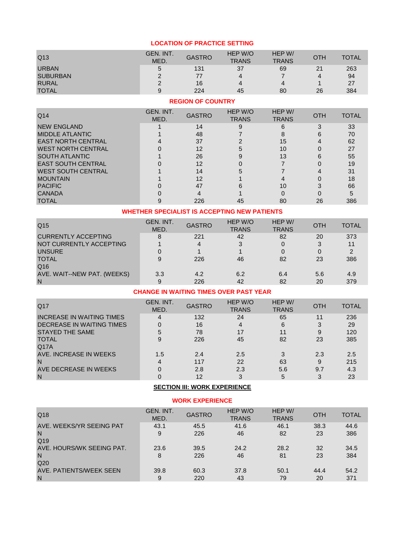| Q13             | GEN. INT.<br>MED. | <b>GASTRO</b> | HEP W/O<br><b>TRANS</b> | HEP W/<br><b>TRANS</b> | <b>OTH</b> | <b>TOTAL</b> |
|-----------------|-------------------|---------------|-------------------------|------------------------|------------|--------------|
| <b>URBAN</b>    | b                 | 131           | 37                      | 69                     | 21         | 263          |
| <b>SUBURBAN</b> |                   | 77            | 4                       |                        | 4          | 94           |
| <b>RURAL</b>    |                   | 16            |                         |                        |            | 27           |
| <b>TOTAL</b>    |                   | 224           | 45                      | 80                     | 26         | 384          |

### **LOCATION OF PRACTICE SETTING**

## **REGION OF COUNTRY**

| Q <sub>14</sub>           | GEN. INT.<br>MED. | <b>GASTRO</b> | HEP W/O<br><b>TRANS</b> | HEP W/<br><b>TRANS</b> | <b>OTH</b> | <b>TOTAL</b> |
|---------------------------|-------------------|---------------|-------------------------|------------------------|------------|--------------|
| <b>NEW ENGLAND</b>        |                   | 14            |                         |                        |            | 33           |
| <b>MIDDLE ATLANTIC</b>    |                   | 48            |                         |                        |            | 70           |
| <b>EAST NORTH CENTRAL</b> |                   | 37            |                         | 15                     |            | 62           |
| <b>WEST NORTH CENTRAL</b> |                   | 12            |                         | 10                     |            | 27           |
| <b>SOUTH ATLANTIC</b>     |                   | 26            |                         | 13                     |            | 55           |
| <b>EAST SOUTH CENTRAL</b> |                   | 12            |                         |                        |            | 19           |
| <b>WEST SOUTH CENTRAL</b> |                   | 14            |                         |                        |            | 31           |
| <b>MOUNTAIN</b>           |                   | 12            |                         |                        |            | 18           |
| <b>PACIFIC</b>            |                   | 47            |                         | 10                     |            | 66           |
| <b>CANADA</b>             |                   |               |                         |                        |            |              |
| <b>TOTAL</b>              |                   | 226           | 45                      | 80                     | 26         | 386          |

### **WHETHER SPECIALIST IS ACCEPTING NEW PATIENTS**

| Q <sub>15</sub>             | GEN. INT.<br>MED. | <b>GASTRO</b> | HEP W/O<br><b>TRANS</b> | HEP W/<br><b>TRANS</b> | <b>OTH</b> | <b>TOTAL</b> |
|-----------------------------|-------------------|---------------|-------------------------|------------------------|------------|--------------|
| <b>CURRENTLY ACCEPTING</b>  | 8                 | 221           | 42                      | 82                     | 20         | 373          |
| NOT CURRENTLY ACCEPTING     |                   | 4             | 3                       |                        | 3          |              |
| <b>UNSURE</b>               |                   |               |                         |                        |            |              |
| <b>TOTAL</b>                | 9                 | 226           | 46                      | 82                     | 23         | 386          |
| Q16                         |                   |               |                         |                        |            |              |
| AVE. WAIT--NEW PAT. (WEEKS) | 3.3               | 4.2           | 6.2                     | 6.4                    | 5.6        | 4.9          |
| N                           | 9                 | 226           | 42                      | 82                     | 20         | 379          |

### **CHANGE IN WAITING TIMES OVER PAST YEAR**

| Q17                              | GEN. INT.<br>MED. | <b>GASTRO</b> | HEP W/O<br><b>TRANS</b> | HEP W/<br><b>TRANS</b> | <b>OTH</b> | <b>TOTAL</b> |
|----------------------------------|-------------------|---------------|-------------------------|------------------------|------------|--------------|
| <b>INCREASE IN WAITING TIMES</b> | 4                 | 132           | 24                      | 65                     | 11         | 236          |
| DECREASE IN WAITING TIMES        |                   | 16            | 4                       | 6                      | 3          | 29           |
| <b>STAYED THE SAME</b>           |                   | 78            | 17                      | 11                     | 9          | 120          |
| <b>TOTAL</b>                     | 9                 | 226           | 45                      | 82                     | 23         | 385          |
| Q17A                             |                   |               |                         |                        |            |              |
| AVE. INCREASE IN WEEKS           | 1.5               | 2.4           | 2.5                     |                        | 2.3        | 2.5          |
| N                                |                   | 117           | 22                      | 63                     | 9          | 215          |
| AVE DECREASE IN WEEKS            |                   | 2.8           | 2.3                     | 5.6                    | 9.7        | 4.3          |
| N                                |                   | 12            | 3                       | 5                      | 3          | 23           |

# **SECTION III: WORK EXPERIENCE**

#### **WORK EXPERIENCE**

| Q18                                               | GEN. INT.<br>MED. | <b>GASTRO</b> | HEP W/O<br><b>TRANS</b> | HEP W/<br><b>TRANS</b> | OTH        | <b>TOTAL</b> |
|---------------------------------------------------|-------------------|---------------|-------------------------|------------------------|------------|--------------|
| AVE, WEEKS/YR SEEING PAT<br>N<br>Q19              | 43.1<br>9         | 45.5<br>226   | 41.6<br>46              | 46.1<br>82             | 38.3<br>23 | 44.6<br>386  |
| AVE, HOURS/WK SEEING PAT.<br>N<br>Q <sub>20</sub> | 23.6<br>8         | 39.5<br>226   | 24.2<br>46              | 28.2<br>81             | 32<br>23   | 34.5<br>384  |
| AVE, PATIENTS/WEEK SEEN<br>N                      | 39.8<br>9         | 60.3<br>220   | 37.8<br>43              | 50.1<br>79             | 44.4<br>20 | 54.2<br>371  |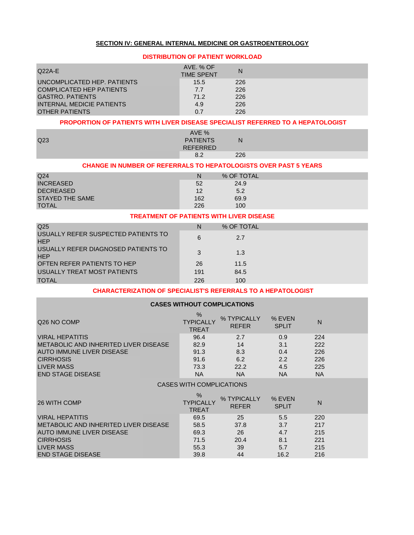#### **SECTION IV: GENERAL INTERNAL MEDICINE OR GASTROENTEROLOGY**

### **DISTRIBUTION OF PATIENT WORKLOAD**

| $Q22A-E$                        | AVE, % OF<br><b>TIME SPENT</b> | N   |  |
|---------------------------------|--------------------------------|-----|--|
| UNCOMPLICATED HEP. PATIENTS     | 15.5                           | 226 |  |
| <b>COMPLICATED HEP PATIENTS</b> | 7.7                            | 226 |  |
| <b>GASTRO, PATIENTS</b>         | 71.2                           | 226 |  |
| INTERNAL MEDICIE PATIENTS       | 4.9                            | 226 |  |
| OTHER PATIENTS                  | 0.7                            | 226 |  |

#### **PROPORTION OF PATIENTS WITH LIVER DISEASE SPECIALIST REFERRED TO A HEPATOLOGIST**

| Q <sub>23</sub> | AVE %<br><b>PATIENTS</b> | N   |
|-----------------|--------------------------|-----|
|                 | <b>REFERRED</b>          |     |
|                 | ററ<br>o.∠                | 226 |

### **CHANGE IN NUMBER OF REFERRALS TO HEPATOLOGISTS OVER PAST 5 YEARS**

| Q <sub>24</sub>        | N   | % OF TOTAL |  |
|------------------------|-----|------------|--|
| <b>INCREASED</b>       | 52  | 24.9       |  |
| <b>DECREASED</b>       | 12  | 5.2        |  |
| <b>STAYED THE SAME</b> | 162 | 69.9       |  |
| <b>TOTAL</b>           | 226 | 100        |  |

#### **TREATMENT OF PATIENTS WITH LIVER DISEASE**

| Q <sub>25</sub>                                   | N   | % OF TOTAL |  |
|---------------------------------------------------|-----|------------|--|
| USUALLY REFER SUSPECTED PATIENTS TO<br><b>HEP</b> | 6   | 2.7        |  |
| USUALLY REFER DIAGNOSED PATIENTS TO<br><b>HEP</b> | 3   | 1.3        |  |
| OFTEN REFER PATIENTS TO HEP                       | 26  | 11.5       |  |
| USUALLY TREAT MOST PATIENTS                       | 191 | 84.5       |  |
| <b>TOTAL</b>                                      | 226 | 100        |  |

#### **CHARACTERIZATION OF SPECIALIST'S REFERRALS TO A HEPATOLOGIST**

| <b>CASES WITHOUT COMPLICATIONS</b>                                                                                                                                       |                                                   |                                              |                                              |                                              |  |  |  |
|--------------------------------------------------------------------------------------------------------------------------------------------------------------------------|---------------------------------------------------|----------------------------------------------|----------------------------------------------|----------------------------------------------|--|--|--|
| Q <sub>26</sub> NO COMP                                                                                                                                                  | $\%$<br><b>TYPICALLY</b><br><b>TREAT</b>          | % TYPICALLY<br><b>REFER</b>                  | % EVEN<br><b>SPLIT</b>                       | $\mathsf{N}$                                 |  |  |  |
| <b>VIRAL HEPATITIS</b><br>METABOLIC AND INHERITED LIVER DISEASE<br><b>AUTO IMMUNE LIVER DISEASE</b><br><b>CIRRHOSIS</b><br><b>LIVER MASS</b><br><b>END STAGE DISEASE</b> | 96.4<br>82.9<br>91.3<br>91.6<br>73.3<br><b>NA</b> | 2.7<br>14<br>8.3<br>6.2<br>22.2<br><b>NA</b> | 0.9<br>3.1<br>0.4<br>2.2<br>4.5<br><b>NA</b> | 224<br>222<br>226<br>226<br>225<br><b>NA</b> |  |  |  |
|                                                                                                                                                                          | <b>CASES WITH COMPLICATIONS</b>                   |                                              |                                              |                                              |  |  |  |
| 26 WITH COMP                                                                                                                                                             | $\%$<br><b>TYPICALLY</b><br><b>TREAT</b>          | % TYPICALLY<br><b>REFER</b>                  | % EVEN<br><b>SPLIT</b>                       | $\mathsf{N}$                                 |  |  |  |
| <b>VIRAL HEPATITIS</b><br>METABOLIC AND INHERITED LIVER DISEASE<br><b>AUTO IMMUNE LIVER DISEASE</b><br><b>CIRRHOSIS</b><br><b>LIVER MASS</b><br><b>END STAGE DISEASE</b> | 69.5<br>58.5<br>69.3<br>71.5<br>55.3<br>39.8      | 25<br>37.8<br>26<br>20.4<br>39<br>44         | 5.5<br>3.7<br>4.7<br>8.1<br>5.7<br>16.2      | 220<br>217<br>215<br>221<br>215<br>216       |  |  |  |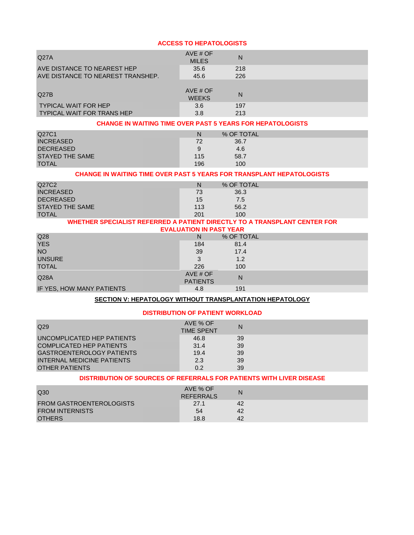#### **ACCESS TO HEPATOLOGISTS**

| Q27A                              | AVE $#$ OF<br><b>MILES</b> | N   |  |
|-----------------------------------|----------------------------|-----|--|
| AVE DISTANCE TO NEAREST HEP       | 35.6                       | 218 |  |
| AVE DISTANCE TO NEAREST TRANSHEP. | 45.6                       | 226 |  |
| Q27B                              | AVE $#$ OF<br><b>WEEKS</b> | N   |  |
| <b>TYPICAL WAIT FOR HEP</b>       | 3.6                        | 197 |  |
| <b>TYPICAL WAIT FOR TRANS HEP</b> | 3.8                        | 213 |  |

#### **CHANGE IN WAITING TIME OVER PAST 5 YEARS FOR HEPATOLOGISTS**

| Q27C1            | N   | % OF TOTAL |  |
|------------------|-----|------------|--|
| <b>INCREASED</b> | 72  | 36.7       |  |
| <b>DECREASED</b> | 9   | 4.6        |  |
| STAYED THE SAME  | 115 | 58.7       |  |
| <b>TOTAL</b>     | 196 | 100        |  |

#### **CHANGE IN WAITING TIME OVER PAST 5 YEARS FOR TRANSPLANT HEPATOLOGISTS**

| Q27C2            | N   | % OF TOTAL |  |
|------------------|-----|------------|--|
| <b>INCREASED</b> | 73  | 36.3       |  |
| <b>DECREASED</b> | 15  | 7.5        |  |
| STAYED THE SAME  | 113 | 56.2       |  |
| <b>TOTAL</b>     | 201 | 100        |  |

#### **WHETHER SPECIALIST REFERRED A PATIENT DIRECTLY TO A TRANSPLANT CENTER FOR EVALUATION IN PAST YEAR**

|                           | EVALUATION IN FAST TEAR     |            |  |
|---------------------------|-----------------------------|------------|--|
| Q28                       | N                           | % OF TOTAL |  |
| <b>YES</b>                | 184                         | 81.4       |  |
| <b>NO</b>                 | 39                          | 17.4       |  |
| <b>UNSURE</b>             | 3                           | 1.2        |  |
| <b>TOTAL</b>              | 226                         | 100        |  |
| Q <sub>28A</sub>          | AVE # OF<br><b>PATIENTS</b> | N          |  |
| IF YES, HOW MANY PATIENTS | 4.8                         | 191        |  |

#### **SECTION V: HEPATOLOGY WITHOUT TRANSPLANTATION HEPATOLOGY**

#### **DISTRIBUTION OF PATIENT WORKLOAD**

| Q29                              | AVE % OF<br><b>TIME SPENT</b> | N  |  |
|----------------------------------|-------------------------------|----|--|
| UNCOMPLICATED HEP PATIENTS       | 46.8                          | 39 |  |
| <b>COMPLICATED HEP PATIENTS</b>  | 31.4                          | 39 |  |
| <b>GASTROENTEROLOGY PATIENTS</b> | 19.4                          | 39 |  |
| INTERNAL MEDICINE PATIENTS       | 2.3                           | 39 |  |
| OTHER PATIENTS                   | 0.2                           | 39 |  |

#### **DISTRIBUTION OF SOURCES OF REFERRALS FOR PATIENTS WITH LIVER DISEASE**

| Q30                             | AVE % OF<br><b>REFERRALS</b> | N  |
|---------------------------------|------------------------------|----|
| <b>FROM GASTROENTEROLOGISTS</b> | 27.1                         | 42 |
| <b>FROM INTERNISTS</b>          | 54                           | 42 |
| <b>OTHERS</b>                   | 18.8                         | 42 |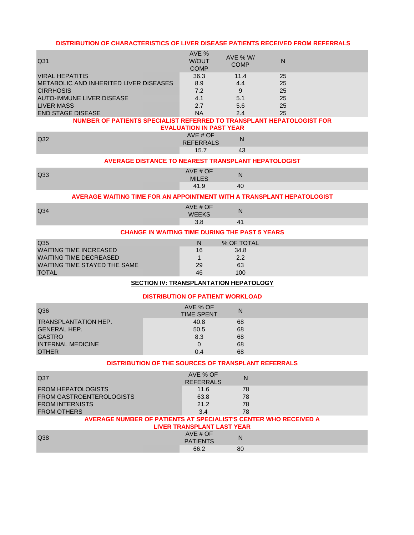#### **DISTRIBUTION OF CHARACTERISTICS OF LIVER DISEASE PATIENTS RECEIVED FROM REFERRALS**

| Q31                                    | AVE %<br>W/OUT<br><b>COMP</b> | AVE % W/<br><b>COMP</b> | N  |  |
|----------------------------------------|-------------------------------|-------------------------|----|--|
| <b>VIRAL HEPATITIS</b>                 | 36.3                          | 11.4                    | 25 |  |
| METABOLIC AND INHERITED LIVER DISEASES | 8.9                           | 4.4                     | 25 |  |
| <b>CIRRHOSIS</b>                       | 7.2                           | 9                       | 25 |  |
| <b>AUTO-IMMUNE LIVER DISEASE</b>       | 4.1                           | 5.1                     | 25 |  |
| LIVER MASS                             | 2.7                           | 5.6                     | 25 |  |
| <b>END STAGE DISEASE</b>               | NA                            | 2.4                     | 25 |  |

## **NUMBER OF PATIENTS SPECIALIST REFERRED TO TRANSPLANT HEPATOLOGIST FOR**

|                 | <b>EVALUATION IN PAST YEAR</b> |           |  |
|-----------------|--------------------------------|-----------|--|
| Q <sub>32</sub> | AVE # OF<br><b>REFERRALS</b>   | N         |  |
|                 | 15.7                           | $4^\circ$ |  |

#### **AVERAGE DISTANCE TO NEAREST TRANSPLANT HEPATOLOGIST**

| $\sim$ | Q33 | $H \cap F$<br>$\sim$<br>$MII$ F.S. | N<br>יי |
|--------|-----|------------------------------------|---------|
|        |     |                                    |         |

#### **AVERAGE WAITING TIME FOR AN APPOINTMENT WITH A TRANSPLANT HEPATOLOGIST**

| Q <sub>34</sub> | $MSE H$ $C =$<br><b>WEEKS</b><br>טיום בי | N<br>. . |
|-----------------|------------------------------------------|----------|
|                 | v.v                                      | -<br>.   |

### **CHANGE IN WAITING TIME DURING THE PAST 5 YEARS**

| Q35                           | N  | % OF TOTAL |  |
|-------------------------------|----|------------|--|
| <b>WAITING TIME INCREASED</b> | 16 | 34.8       |  |
| WAITING TIME DECREASED        |    | 2.2        |  |
| WAITING TIME STAYED THE SAME  | 29 | 63         |  |
| <b>TOTAL</b>                  | 46 | 100        |  |

### **SECTION IV: TRANSPLANTATION HEPATOLOGY**

#### **DISTRIBUTION OF PATIENT WORKLOAD**

| Q36                         | AVE % OF<br><b>TIME SPENT</b> | N  |  |
|-----------------------------|-------------------------------|----|--|
| <b>TRANSPLANTATION HEP.</b> | 40.8                          | 68 |  |
| <b>GENERAL HEP.</b>         | 50.5                          | 68 |  |
| <b>GASTRO</b>               | 8.3                           | 68 |  |
| <b>INTERNAL MEDICINE</b>    | 0                             | 68 |  |
| <b>OTHER</b>                | 0.4                           | 68 |  |

#### **DISTRIBUTION OF THE SOURCES OF TRANSPLANT REFERRALS**

| Q37                                                              | AVE % OF<br><b>REFERRALS</b>      | Ν  |
|------------------------------------------------------------------|-----------------------------------|----|
| <b>FROM HEPATOLOGISTS</b>                                        | 11.6                              | 78 |
| <b>FROM GASTROENTEROLOGISTS</b>                                  | 63.8                              | 78 |
| <b>FROM INTERNISTS</b>                                           | 21.2                              | 78 |
| <b>FROM OTHERS</b>                                               | 3.4                               | 78 |
| AVERAGE NUMBER OF PATIENTS AT SPECIALIST'S CENTER WHO RECEIVED A |                                   |    |
|                                                                  | <b>LIVER TRANSPLANT LAST YEAR</b> |    |
| Q38                                                              | AVE $#$ OF<br><b>PATIENTS</b>     | N  |
|                                                                  | 66.2                              | 80 |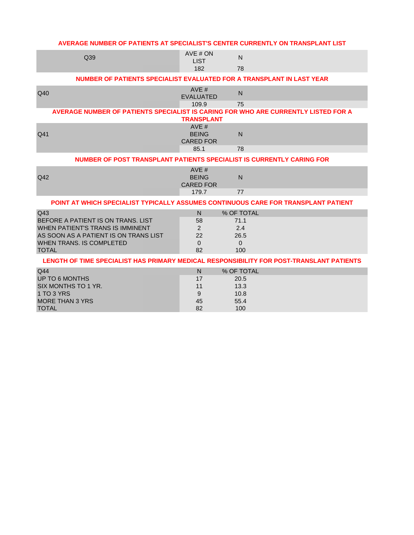| AVERAGE NUMBER OF PATIENTS AT SPECIALIST'S CENTER CURRENTLY ON TRANSPLANT LIST                                                                                            |                                                 |                                                      |  |
|---------------------------------------------------------------------------------------------------------------------------------------------------------------------------|-------------------------------------------------|------------------------------------------------------|--|
| Q39                                                                                                                                                                       | AVE # ON<br><b>LIST</b><br>182                  | N<br>78                                              |  |
| NUMBER OF PATIENTS SPECIALIST EVALUATED FOR A TRANSPLANT IN LAST YEAR                                                                                                     |                                                 |                                                      |  |
| Q40                                                                                                                                                                       | AVE#<br><b>EVALUATED</b>                        | N                                                    |  |
| AVERAGE NUMBER OF PATIENTS SPECIALIST IS CARING FOR WHO ARE CURRENTLY LISTED FOR A                                                                                        | 109.9<br><b>TRANSPLANT</b>                      | 75                                                   |  |
| Q41                                                                                                                                                                       | AVE #<br><b>BEING</b><br><b>CARED FOR</b>       | $\mathsf{N}$                                         |  |
| NUMBER OF POST TRANSPLANT PATIENTS SPECIALIST IS CURRENTLY CARING FOR                                                                                                     | 85.1                                            | 78                                                   |  |
|                                                                                                                                                                           | AVE #                                           |                                                      |  |
| Q42                                                                                                                                                                       | <b>BEING</b><br><b>CARED FOR</b>                | N                                                    |  |
|                                                                                                                                                                           | 179.7                                           | 77                                                   |  |
| POINT AT WHICH SPECIALIST TYPICALLY ASSUMES CONTINUOUS CARE FOR TRANSPLANT PATIENT                                                                                        |                                                 |                                                      |  |
| Q43<br>BEFORE A PATIENT IS ON TRANS. LIST<br>WHEN PATIENT'S TRANS IS IMMINENT<br>AS SOON AS A PATIENT IS ON TRANS LIST<br><b>WHEN TRANS. IS COMPLETED</b><br><b>TOTAL</b> | $\mathsf{N}$<br>58<br>2<br>22<br>$\Omega$<br>82 | % OF TOTAL<br>71.1<br>2.4<br>26.5<br>$\Omega$<br>100 |  |
| LENGTH OF TIME SPECIALIST HAS PRIMARY MEDICAL RESPONSIBILITY FOR POST-TRANSLANT PATIENTS                                                                                  |                                                 |                                                      |  |
| Q44<br><b>UP TO 6 MONTHS</b><br>SIX MONTHS TO 1 YR.<br>1 TO 3 YRS<br><b>MORE THAN 3 YRS</b><br><b>TOTAL</b>                                                               | N<br>17<br>11<br>9<br>45<br>82                  | % OF TOTAL<br>20.5<br>13.3<br>10.8<br>55.4<br>100    |  |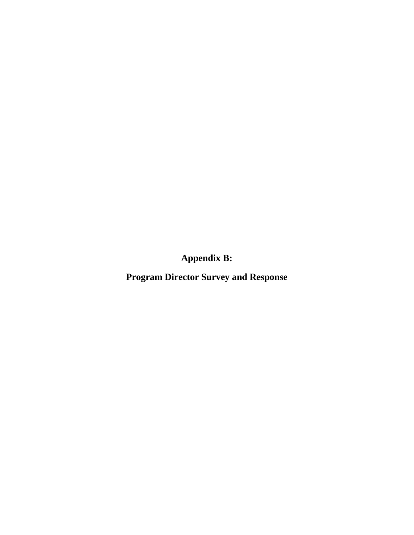**Appendix B:** 

**Program Director Survey and Response**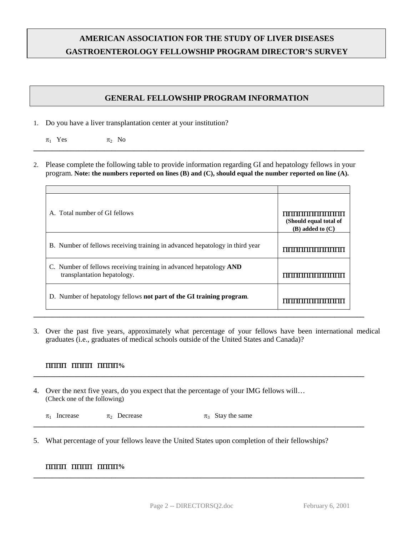# **AMERICAN ASSOCIATION FOR THE STUDY OF LIVER DISEASES GASTROENTEROLOGY FELLOWSHIP PROGRAM DIRECTOR'S SURVEY**

# **GENERAL FELLOWSHIP PROGRAM INFORMATION**

- 1. Do you have a liver transplantation center at your institution?
	- $\pi_1$  Yes  $\pi_2$  No
- 2. Please complete the following table to provide information regarding GI and hepatology fellows in your program. **Note: the numbers reported on lines (B) and (C), should equal the number reported on line (A).**

**\_\_\_\_\_\_\_\_\_\_\_\_\_\_\_\_\_\_\_\_\_\_\_\_\_\_\_\_\_\_\_\_\_\_\_\_\_\_\_\_\_\_\_\_\_\_\_\_\_\_\_\_\_\_\_\_\_\_\_\_\_\_\_\_\_\_\_\_\_\_\_\_\_\_\_\_\_\_\_\_\_\_\_\_\_\_\_\_\_**

| A. Total number of GI fellows                                                                     | ,,,,,,,,,,,,,,,,,,,,,,,,,<br>(Should equal total of<br>$(B)$ added to $(C)$ |
|---------------------------------------------------------------------------------------------------|-----------------------------------------------------------------------------|
| B. Number of fellows receiving training in advanced hepatology in third year                      | mmm                                                                         |
| C. Number of fellows receiving training in advanced hepatology AND<br>transplantation hepatology. |                                                                             |
| D. Number of hepatology fellows not part of the GI training program.                              |                                                                             |

3. Over the past five years, approximately what percentage of your fellows have been international medical graduates (i.e., graduates of medical schools outside of the United States and Canada)?

**\_\_\_\_\_\_\_\_\_\_\_\_\_\_\_\_\_\_\_\_\_\_\_\_\_\_\_\_\_\_\_\_\_\_\_\_\_\_\_\_\_\_\_\_\_\_\_\_\_\_\_\_\_\_\_\_\_\_\_\_\_\_\_\_\_\_\_\_\_\_\_\_\_\_\_\_\_\_\_\_\_\_\_\_\_\_\_\_\_**

### ΠΠΠΠΠΠΠΠΠΠΠΠ**%**

4. Over the next five years, do you expect that the percentage of your IMG fellows will… (Check one of the following)

 $\pi_1$  Increase  $\pi_2$  Decrease  $\pi_3$  Stay the same **\_\_\_\_\_\_\_\_\_\_\_\_\_\_\_\_\_\_\_\_\_\_\_\_\_\_\_\_\_\_\_\_\_\_\_\_\_\_\_\_\_\_\_\_\_\_\_\_\_\_\_\_\_\_\_\_\_\_\_\_\_\_\_\_\_\_\_\_\_\_\_\_\_\_\_\_\_\_\_\_\_\_\_\_\_\_\_\_\_**

5. What percentage of your fellows leave the United States upon completion of their fellowships?

### ΠΠΠΠΠΠΠΠΠΠΠΠ**%**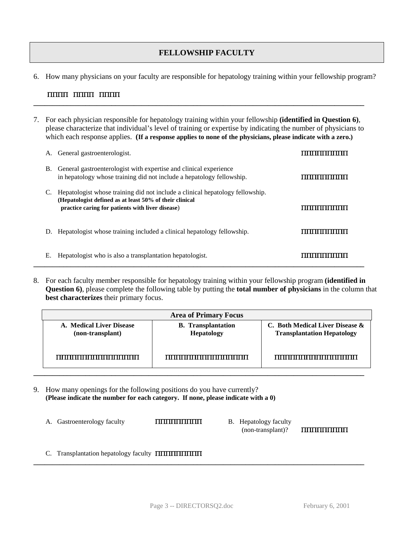# **FELLOWSHIP FACULTY**

6. How many physicians on your faculty are responsible for hepatology training within your fellowship program?

### ΠΠΠΠΠΠΠΠΠΠΠΠ

7. For each physician responsible for hepatology training within your fellowship **(identified in Question 6)**, please characterize that individual's level of training or expertise by indicating the number of physicians to which each response applies. **(If a response applies to none of the physicians, please indicate with a zero.)**

**\_\_\_\_\_\_\_\_\_\_\_\_\_\_\_\_\_\_\_\_\_\_\_\_\_\_\_\_\_\_\_\_\_\_\_\_\_\_\_\_\_\_\_\_\_\_\_\_\_\_\_\_\_\_\_\_\_\_\_\_\_\_\_\_\_\_\_\_\_\_\_\_\_\_\_\_\_\_\_\_\_\_\_\_\_\_\_\_\_**

|    | A. General gastroenterologist.                                                                                                                                                               |             |
|----|----------------------------------------------------------------------------------------------------------------------------------------------------------------------------------------------|-------------|
| В. | General gastroenterologist with expertise and clinical experience<br>in hepatology whose training did not include a hepatology fellowship.                                                   |             |
|    | Hepatologist whose training did not include a clinical hepatology fellowship.<br>(Hepatologist defined as at least 50% of their clinical<br>practice caring for patients with liver disease) |             |
| D. | Hepatologist whose training included a clinical hepatology fellowship.                                                                                                                       | ,,,,,,,,,,, |
| Е. | Hepatologist who is also a transplantation hepatologist.                                                                                                                                     |             |

8. For each faculty member responsible for hepatology training within your fellowship program **(identified in Question 6)**, please complete the following table by putting the **total number of physicians** in the column that **best characterizes** their primary focus.

| <b>Area of Primary Focus</b>                 |                                                |                                                                      |  |  |  |  |
|----------------------------------------------|------------------------------------------------|----------------------------------------------------------------------|--|--|--|--|
| A. Medical Liver Disease<br>(non-transplant) | <b>B.</b> Transplantation<br><b>Hepatology</b> | C. Both Medical Liver Disease &<br><b>Transplantation Hepatology</b> |  |  |  |  |
| ,,,,,,,,,,,,,,,,,,,,,,,,,,,,,,,,,            |                                                |                                                                      |  |  |  |  |
|                                              |                                                |                                                                      |  |  |  |  |

- 9. How many openings for the following positions do you have currently? **(Please indicate the number for each category. If none, please indicate with a 0)**
	- A. Gastroenterology faculty **ΠΗΠΗΠΗΠΗ** B. Hepatology faculty

(non-transplant)? ΠΠΠΠΠΠΠΠΠ

C. Transplantation hepatology faculty ΠΠΠΠΠΠΠΠΠΠ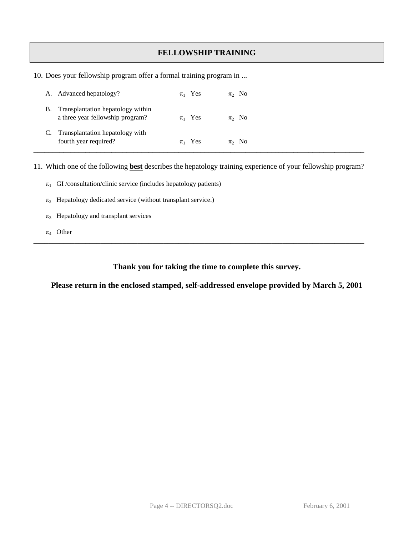# **FELLOWSHIP TRAINING**

10. Does your fellowship program offer a formal training program in ...

|    | A. Advanced hepatology?                                               | $\pi_1$ Yes | $\pi$ <sub>2</sub> No |
|----|-----------------------------------------------------------------------|-------------|-----------------------|
| В. | Transplantation hepatology within<br>a three year fellowship program? | $\pi_1$ Yes | $\pi$ <sub>2</sub> No |
|    | Transplantation hepatology with<br>fourth year required?              | $\pi_1$ Yes | $\pi_2$ No            |

11. Which one of the following **best** describes the hepatology training experience of your fellowship program?

- $\pi_1$  GI /consultation/clinic service (includes hepatology patients)
- $\pi_2$  Hepatology dedicated service (without transplant service.)
- $\pi_3$  Hepatology and transplant services
- $\pi_4$  Other

### **Thank you for taking the time to complete this survey.**

**\_\_\_\_\_\_\_\_\_\_\_\_\_\_\_\_\_\_\_\_\_\_\_\_\_\_\_\_\_\_\_\_\_\_\_\_\_\_\_\_\_\_\_\_\_\_\_\_\_\_\_\_\_\_\_\_\_\_\_\_\_\_\_\_\_\_\_\_\_\_\_\_\_\_\_\_\_\_\_\_\_\_\_\_\_\_\_\_\_**

**Please return in the enclosed stamped, self-addressed envelope provided by March 5, 2001**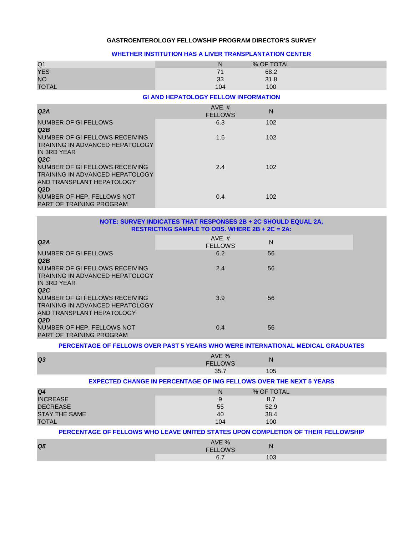#### **GASTROENTEROLOGY FELLOWSHIP PROGRAM DIRECTOR'S SURVEY**

#### **WHETHER INSTITUTION HAS A LIVER TRANSPLANTATION CENTER**

| Q <sub>1</sub>                         | N                                           | % OF TOTAL |
|----------------------------------------|---------------------------------------------|------------|
| <b>YES</b>                             | 71                                          | 68.2       |
| NO.                                    | 33                                          | 31.8       |
| <b>TOTAL</b>                           | 104                                         | 100        |
|                                        | <b>GI AND HEPATOLOGY FELLOW INFORMATION</b> |            |
| Q2A                                    | $AVE. \#$<br><b>FELLOWS</b>                 | N          |
| NUMBER OF GI FELLOWS                   | 6.3                                         | 102        |
| Q2B                                    |                                             |            |
| NUMBER OF GI FELLOWS RECEIVING         | 1.6                                         | 102        |
| <b>TRAINING IN ADVANCED HEPATOLOGY</b> |                                             |            |
| IN 3RD YEAR                            |                                             |            |
| Q2C                                    |                                             |            |
| NUMBER OF GI FELLOWS RECEIVING         | 2.4                                         | 102        |
| <b>TRAINING IN ADVANCED HEPATOLOGY</b> |                                             |            |
| AND TRANSPLANT HEPATOLOGY              |                                             |            |
| Q <sub>2</sub> D                       |                                             |            |
| NUMBER OF HEP. FELLOWS NOT             | 0.4                                         | 102        |
| <b>PART OF TRAINING PROGRAM</b>        |                                             |            |

#### **NOTE: SURVEY INDICATES THAT RESPONSES 2B + 2C SHOULD EQUAL 2A. RESTRICTING SAMPLE TO OBS. WHERE 2B + 2C = 2A:**

| Q2A                                                                                                               | AVE. #<br><b>FELLOWS</b> | N  |  |
|-------------------------------------------------------------------------------------------------------------------|--------------------------|----|--|
| <b>NUMBER OF GI FELLOWS</b><br>Q2B                                                                                | 6.2                      | 56 |  |
| NUMBER OF GI FELLOWS RECEIVING<br><b>TRAINING IN ADVANCED HEPATOLOGY</b><br>IN 3RD YEAR<br>Q2C                    | 2.4                      | 56 |  |
| NUMBER OF GIFELLOWS RECEIVING<br>TRAINING IN ADVANCED HEPATOLOGY<br>AND TRANSPLANT HEPATOLOGY<br>Q <sub>2</sub> D | 3.9                      | 56 |  |
| NUMBER OF HEP. FELLOWS NOT<br><b>PART OF TRAINING PROGRAM</b>                                                     | 0.4                      | 56 |  |

#### **PERCENTAGE OF FELLOWS OVER PAST 5 YEARS WHO WERE INTERNATIONAL MEDICAL GRADUATES**

| Q <sub>3</sub> | $\mathbf{A}$<br>70<br>$7$ M/S<br><b>CCI</b> | N   |
|----------------|---------------------------------------------|-----|
|                | ື                                           | 105 |

#### **EXPECTED CHANGE IN PERCENTAGE OF IMG FELLOWS OVER THE NEXT 5 YEARS**

| Q4                   | N   | % OF TOTAL |  |
|----------------------|-----|------------|--|
| <b>INCREASE</b>      |     | 8.7        |  |
| <b>DECREASE</b>      | 55  | 52.9       |  |
| <b>STAY THE SAME</b> | 40  | 38.4       |  |
| <b>TOTAL</b>         | 104 | 100        |  |

#### **PERCENTAGE OF FELLOWS WHO LEAVE UNITED STATES UPON COMPLETION OF THEIR FELLOWSHIP**

| Q <sub>5</sub> | $\sqrt{2}$<br>$\sqrt{11}$<br>OWS<br>cc: | N   |
|----------------|-----------------------------------------|-----|
|                |                                         | ັບປ |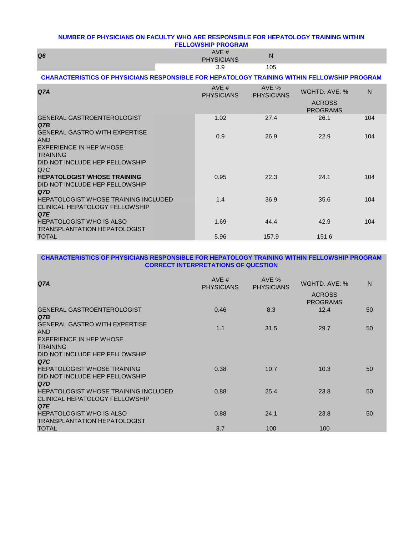#### **NUMBER OF PHYSICIANS ON FACULTY WHO ARE RESPONSIBLE FOR HEPATOLOGY TRAINING WITHIN FELLOWSHIP PROGRAM**

| Q <sub>6</sub> | $\lambda \lambda I$ $\Gamma$ $\mu$<br><b>PHYSICIANS</b> | N   |
|----------------|---------------------------------------------------------|-----|
|                | ◡.◡                                                     | 105 |

#### **CHARACTERISTICS OF PHYSICIANS RESPONSIBLE FOR HEPATOLOGY TRAINING WITHIN FELLOWSHIP PROGRAM**

| Q <sub>7A</sub>                                                                      | AVE $#$<br><b>PHYSICIANS</b> | AVE %<br><b>PHYSICIANS</b> | WGHTD, AVE: %                    | N   |
|--------------------------------------------------------------------------------------|------------------------------|----------------------------|----------------------------------|-----|
|                                                                                      |                              |                            | <b>ACROSS</b><br><b>PROGRAMS</b> |     |
| <b>GENERAL GASTROENTEROLOGIST</b><br>Q7B                                             | 1.02                         | 27.4                       | 26.1                             | 104 |
| <b>GENERAL GASTRO WITH EXPERTISE</b><br><b>AND</b>                                   | 0.9                          | 26.9                       | 22.9                             | 104 |
| <b>EXPERIENCE IN HEP WHOSE</b><br><b>TRAINING</b>                                    |                              |                            |                                  |     |
| DID NOT INCLUDE HEP FELLOWSHIP<br>Q7C                                                |                              |                            |                                  |     |
| <b>HEPATOLOGIST WHOSE TRAINING</b><br>DID NOT INCLUDE HEP FELLOWSHIP<br>Q7D          | 0.95                         | 22.3                       | 24.1                             | 104 |
| <b>HEPATOLOGIST WHOSE TRAINING INCLUDED</b><br>CLINICAL HEPATOLOGY FELLOWSHIP<br>Q7E | 1.4                          | 36.9                       | 35.6                             | 104 |
| <b>HEPATOLOGIST WHO IS ALSO</b><br><b>TRANSPLANTATION HEPATOLOGIST</b>               | 1.69                         | 44.4                       | 42.9                             | 104 |
| <b>TOTAL</b>                                                                         | 5.96                         | 157.9                      | 151.6                            |     |

#### **CHARACTERISTICS OF PHYSICIANS RESPONSIBLE FOR HEPATOLOGY TRAINING WITHIN FELLOWSHIP PROGRAM CORRECT INTERPRETATIONS OF QUESTION**

| Q <sub>7A</sub>                                                                      | AVE $#$<br><b>PHYSICIANS</b> | AVE %<br><b>PHYSICIANS</b> | WGHTD, AVE: %<br><b>ACROSS</b> | $\mathsf{N}$ |
|--------------------------------------------------------------------------------------|------------------------------|----------------------------|--------------------------------|--------------|
| <b>GENERAL GASTROENTEROLOGIST</b><br>Q7B                                             | 0.46                         | 8.3                        | <b>PROGRAMS</b><br>12.4        | 50           |
| <b>GENERAL GASTRO WITH EXPERTISE</b><br><b>AND</b>                                   | 1.1                          | 31.5                       | 29.7                           | 50           |
| EXPERIENCE IN HEP WHOSE<br><b>TRAINING</b>                                           |                              |                            |                                |              |
| DID NOT INCLUDE HEP FELLOWSHIP<br>Q7C                                                |                              |                            |                                |              |
| <b>HEPATOLOGIST WHOSE TRAINING</b><br>DID NOT INCLUDE HEP FELLOWSHIP                 | 0.38                         | 10.7                       | 10.3                           | 50           |
| Q7D                                                                                  |                              |                            |                                |              |
| <b>HEPATOLOGIST WHOSE TRAINING INCLUDED</b><br>CLINICAL HEPATOLOGY FELLOWSHIP<br>Q7E | 0.88                         | 25.4                       | 23.8                           | 50           |
| <b>HEPATOLOGIST WHO IS ALSO</b><br><b>TRANSPLANTATION HEPATOLOGIST</b>               | 0.88                         | 24.1                       | 23.8                           | 50           |
| <b>TOTAL</b>                                                                         | 3.7                          | 100                        | 100                            |              |